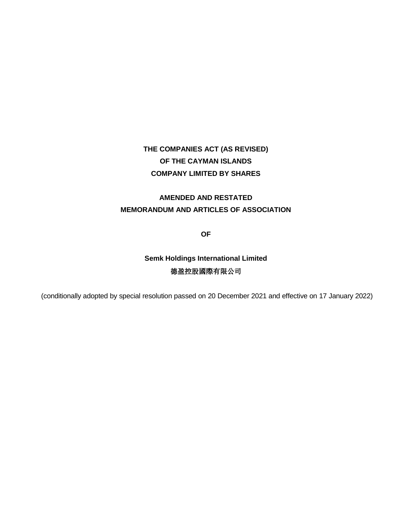### **AMENDED AND RESTATED MEMORANDUM AND ARTICLES OF ASSOCIATION**

**OF**

## **Semk Holdings International Limited** 德盈控股國際有限公司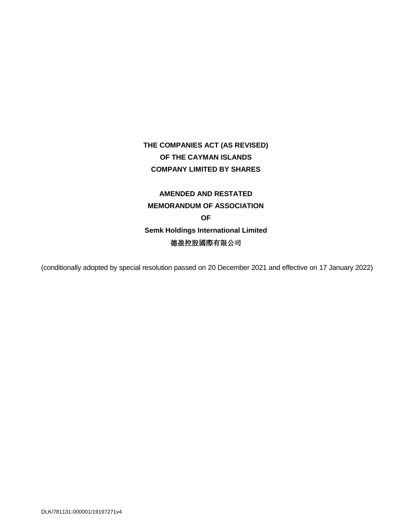# **AMENDED AND RESTATED MEMORANDUM OF ASSOCIATION OF Semk Holdings International Limited** 德盈控股國際有限公司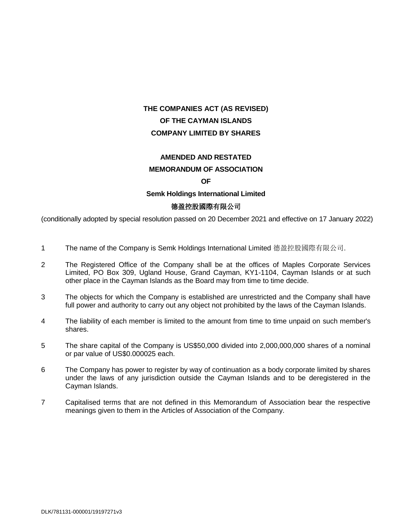### **AMENDED AND RESTATED**

#### **MEMORANDUM OF ASSOCIATION**

#### **OF**

#### **Semk Holdings International Limited**

#### 德盈控股國際有限公司

- 1 The name of the Company is Semk Holdings International Limited 德盈控股國際有限公司.
- 2 The Registered Office of the Company shall be at the offices of Maples Corporate Services Limited, PO Box 309, Ugland House, Grand Cayman, KY1-1104, Cayman Islands or at such other place in the Cayman Islands as the Board may from time to time decide.
- 3 The objects for which the Company is established are unrestricted and the Company shall have full power and authority to carry out any object not prohibited by the laws of the Cayman Islands.
- 4 The liability of each member is limited to the amount from time to time unpaid on such member's shares.
- 5 The share capital of the Company is US\$50,000 divided into 2,000,000,000 shares of a nominal or par value of US\$0.000025 each.
- 6 The Company has power to register by way of continuation as a body corporate limited by shares under the laws of any jurisdiction outside the Cayman Islands and to be deregistered in the Cayman Islands.
- 7 Capitalised terms that are not defined in this Memorandum of Association bear the respective meanings given to them in the Articles of Association of the Company.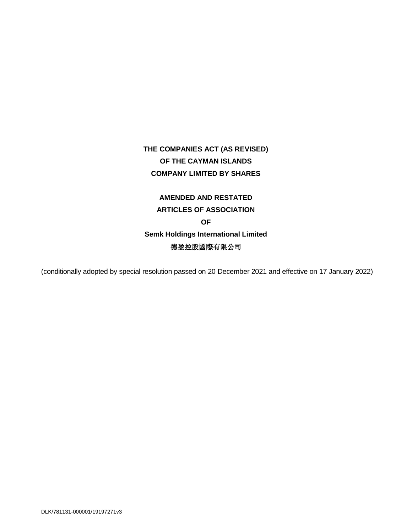# **AMENDED AND RESTATED ARTICLES OF ASSOCIATION OF Semk Holdings International Limited** 德盈控股國際有限公司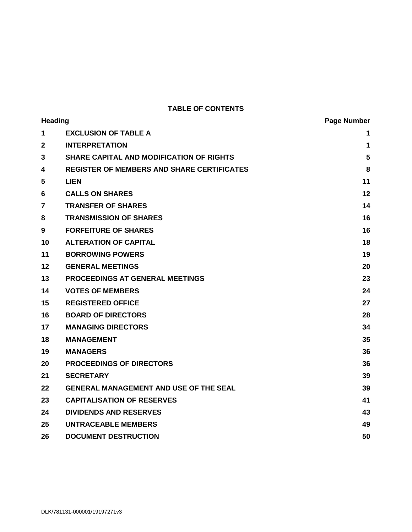### **TABLE OF CONTENTS**

| <b>Heading</b> |                                                   | <b>Page Number</b> |
|----------------|---------------------------------------------------|--------------------|
| 1              | <b>EXCLUSION OF TABLE A</b>                       | 1                  |
| $\overline{2}$ | <b>INTERPRETATION</b>                             | $\mathbf{1}$       |
| 3              | <b>SHARE CAPITAL AND MODIFICATION OF RIGHTS</b>   | 5                  |
| 4              | <b>REGISTER OF MEMBERS AND SHARE CERTIFICATES</b> | 8                  |
| 5              | <b>LIEN</b>                                       | 11                 |
| 6              | <b>CALLS ON SHARES</b>                            | 12                 |
| 7              | <b>TRANSFER OF SHARES</b>                         | 14                 |
| 8              | <b>TRANSMISSION OF SHARES</b>                     | 16                 |
| 9              | <b>FORFEITURE OF SHARES</b>                       | 16                 |
| 10             | <b>ALTERATION OF CAPITAL</b>                      | 18                 |
| 11             | <b>BORROWING POWERS</b>                           | 19                 |
| 12             | <b>GENERAL MEETINGS</b>                           | 20                 |
| 13             | <b>PROCEEDINGS AT GENERAL MEETINGS</b>            | 23                 |
| 14             | <b>VOTES OF MEMBERS</b>                           | 24                 |
| 15             | <b>REGISTERED OFFICE</b>                          | 27                 |
| 16             | <b>BOARD OF DIRECTORS</b>                         | 28                 |
| 17             | <b>MANAGING DIRECTORS</b>                         | 34                 |
| 18             | <b>MANAGEMENT</b>                                 | 35                 |
| 19             | <b>MANAGERS</b>                                   | 36                 |
| 20             | <b>PROCEEDINGS OF DIRECTORS</b>                   | 36                 |
| 21             | <b>SECRETARY</b>                                  | 39                 |
| 22             | <b>GENERAL MANAGEMENT AND USE OF THE SEAL</b>     | 39                 |
| 23             | <b>CAPITALISATION OF RESERVES</b>                 | 41                 |
| 24             | <b>DIVIDENDS AND RESERVES</b>                     | 43                 |
| 25             | <b>UNTRACEABLE MEMBERS</b>                        | 49                 |
| 26             | <b>DOCUMENT DESTRUCTION</b>                       | 50                 |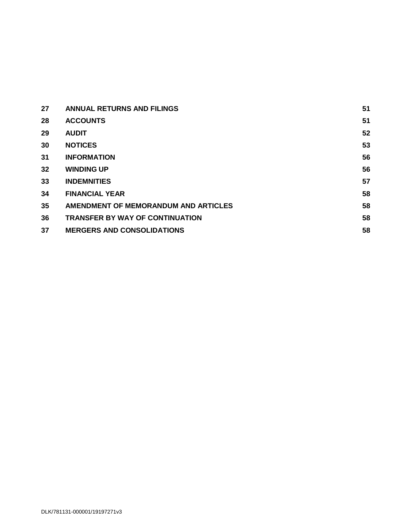| 27              | <b>ANNUAL RETURNS AND FILINGS</b>      | 51 |
|-----------------|----------------------------------------|----|
| 28              | <b>ACCOUNTS</b>                        | 51 |
| 29              | <b>AUDIT</b>                           | 52 |
| 30              | <b>NOTICES</b>                         | 53 |
| 31              | <b>INFORMATION</b>                     | 56 |
| 32 <sub>2</sub> | <b>WINDING UP</b>                      | 56 |
| 33              | <b>INDEMNITIES</b>                     | 57 |
| 34              | <b>FINANCIAL YEAR</b>                  | 58 |
| 35              | AMENDMENT OF MEMORANDUM AND ARTICLES   | 58 |
| 36              | <b>TRANSFER BY WAY OF CONTINUATION</b> | 58 |
| 37              | <b>MERGERS AND CONSOLIDATIONS</b>      | 58 |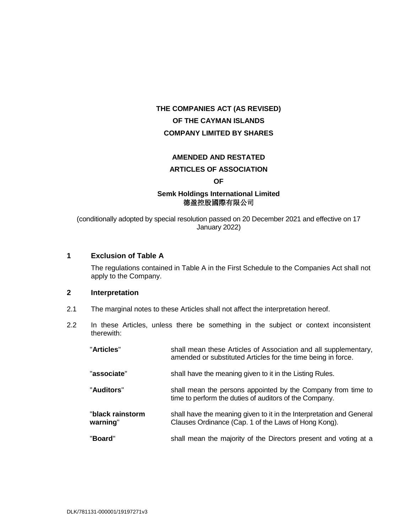#### **AMENDED AND RESTATED**

#### **ARTICLES OF ASSOCIATION**

#### **OF**

### **Semk Holdings International Limited**  德盈控股國際有限公司

(conditionally adopted by special resolution passed on 20 December 2021 and effective on 17 January 2022)

#### <span id="page-6-0"></span>**1 Exclusion of Table A**

The regulations contained in Table A in the First Schedule to the Companies Act shall not apply to the Company.

#### <span id="page-6-1"></span>**2 Interpretation**

- 2.1 The marginal notes to these Articles shall not affect the interpretation hereof.
- 2.2 In these Articles, unless there be something in the subject or context inconsistent therewith:

| "Articles"                   | shall mean these Articles of Association and all supplementary,<br>amended or substituted Articles for the time being in force. |
|------------------------------|---------------------------------------------------------------------------------------------------------------------------------|
| "associate"                  | shall have the meaning given to it in the Listing Rules.                                                                        |
| "Auditors"                   | shall mean the persons appointed by the Company from time to<br>time to perform the duties of auditors of the Company.          |
| "black rainstorm<br>warning" | shall have the meaning given to it in the Interpretation and General<br>Clauses Ordinance (Cap. 1 of the Laws of Hong Kong).    |
| "Board"                      | shall mean the majority of the Directors present and voting at a                                                                |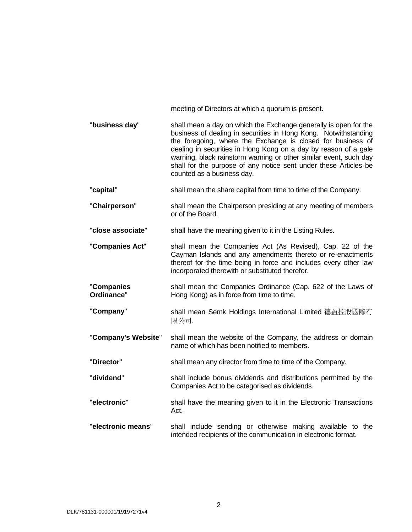|                          | meeting of Directors at which a quorum is present.                                                                                                                                                                                                                                                                                                                                                                                           |
|--------------------------|----------------------------------------------------------------------------------------------------------------------------------------------------------------------------------------------------------------------------------------------------------------------------------------------------------------------------------------------------------------------------------------------------------------------------------------------|
| "business day"           | shall mean a day on which the Exchange generally is open for the<br>business of dealing in securities in Hong Kong. Notwithstanding<br>the foregoing, where the Exchange is closed for business of<br>dealing in securities in Hong Kong on a day by reason of a gale<br>warning, black rainstorm warning or other similar event, such day<br>shall for the purpose of any notice sent under these Articles be<br>counted as a business day. |
| "capital"                | shall mean the share capital from time to time of the Company.                                                                                                                                                                                                                                                                                                                                                                               |
| "Chairperson"            | shall mean the Chairperson presiding at any meeting of members<br>or of the Board.                                                                                                                                                                                                                                                                                                                                                           |
| "close associate"        | shall have the meaning given to it in the Listing Rules.                                                                                                                                                                                                                                                                                                                                                                                     |
| "Companies Act"          | shall mean the Companies Act (As Revised), Cap. 22 of the<br>Cayman Islands and any amendments thereto or re-enactments<br>thereof for the time being in force and includes every other law<br>incorporated therewith or substituted therefor.                                                                                                                                                                                               |
| "Companies<br>Ordinance" | shall mean the Companies Ordinance (Cap. 622 of the Laws of<br>Hong Kong) as in force from time to time.                                                                                                                                                                                                                                                                                                                                     |
| "Company"                | shall mean Semk Holdings International Limited 德盈控股國際有<br>限公司.                                                                                                                                                                                                                                                                                                                                                                               |
| "Company's Website"      | shall mean the website of the Company, the address or domain<br>name of which has been notified to members.                                                                                                                                                                                                                                                                                                                                  |
| "Director"               | shall mean any director from time to time of the Company.                                                                                                                                                                                                                                                                                                                                                                                    |
| "dividend"               | shall include bonus dividends and distributions permitted by the<br>Companies Act to be categorised as dividends.                                                                                                                                                                                                                                                                                                                            |
| "electronic"             | shall have the meaning given to it in the Electronic Transactions<br>Act.                                                                                                                                                                                                                                                                                                                                                                    |
| "electronic means"       | shall include sending or otherwise making available to the<br>intended recipients of the communication in electronic format.                                                                                                                                                                                                                                                                                                                 |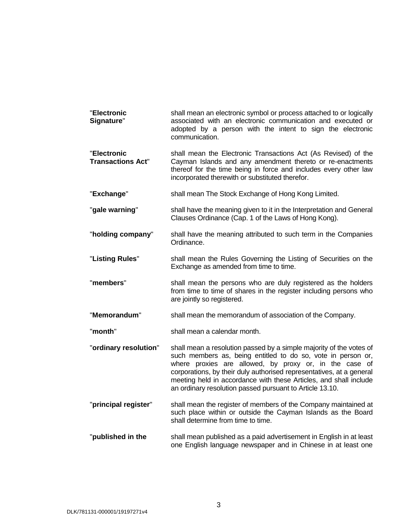| "Electronic<br>Signature"               | shall mean an electronic symbol or process attached to or logically<br>associated with an electronic communication and executed or<br>adopted by a person with the intent to sign the electronic<br>communication. |
|-----------------------------------------|--------------------------------------------------------------------------------------------------------------------------------------------------------------------------------------------------------------------|
| "Electronic<br><b>Transactions Act"</b> | shall mean the Electronic Transactions Act (As Revised) of the<br>Cayman Islands and any amendment thereto or re-enactments<br>thereof for the time being in force and includes every other law                    |

incorporated therewith or substituted therefor.

- "**Exchange**" shall mean The Stock Exchange of Hong Kong Limited.
- "gale warning" shall have the meaning given to it in the Interpretation and General Clauses Ordinance (Cap. 1 of the Laws of Hong Kong).
- "**holding company**" shall have the meaning attributed to such term in the Companies Ordinance.
- "**Listing Rules**" shall mean the Rules Governing the Listing of Securities on the Exchange as amended from time to time.

"**members**" shall mean the persons who are duly registered as the holders from time to time of shares in the register including persons who are jointly so registered.

- "**Memorandum**" shall mean the memorandum of association of the Company.
- "**month**" shall mean a calendar month.
- "**ordinary resolution**" shall mean a resolution passed by a simple majority of the votes of such members as, being entitled to do so, vote in person or, where proxies are allowed, by proxy or, in the case of corporations, by their duly authorised representatives, at a general meeting held in accordance with these Articles, and shall include an ordinary resolution passed pursuant to Article [13.10.](#page-29-1)
- "**principal register**" shall mean the register of members of the Company maintained at such place within or outside the Cayman Islands as the Board shall determine from time to time.
- "**published in the** shall mean published as a paid advertisement in English in at least one English language newspaper and in Chinese in at least one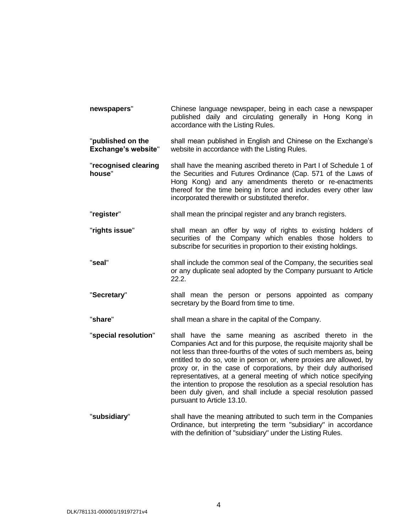- **newspapers**" Chinese language newspaper, being in each case a newspaper published daily and circulating generally in Hong Kong in accordance with the Listing Rules. "**published on the Exchange's website**" shall mean published in English and Chinese on the Exchange's website in accordance with the Listing Rules.
- "**recognised clearing house**" shall have the meaning ascribed thereto in Part I of Schedule 1 of the Securities and Futures Ordinance (Cap. 571 of the Laws of Hong Kong) and any amendments thereto or re-enactments thereof for the time being in force and includes every other law incorporated therewith or substituted therefor.
- "**register**" shall mean the principal register and any branch registers.
- "**rights issue**" shall mean an offer by way of rights to existing holders of securities of the Company which enables those holders to subscribe for securities in proportion to their existing holdings.
- "**seal**" shall include the common seal of the Company, the securities seal or any duplicate seal adopted by the Company pursuant to Article [22.2.](#page-44-2)
- "**Secretary**" shall mean the person or persons appointed as company secretary by the Board from time to time.
- "**share**" shall mean a share in the capital of the Company.
- "**special resolution**" shall have the same meaning as ascribed thereto in the Companies Act and for this purpose, the requisite majority shall be not less than three-fourths of the votes of such members as, being entitled to do so, vote in person or, where proxies are allowed, by proxy or, in the case of corporations, by their duly authorised representatives, at a general meeting of which notice specifying the intention to propose the resolution as a special resolution has been duly given, and shall include a special resolution passed pursuant to Articl[e 13.10.](#page-29-1)
- **"subsidiary"** shall have the meaning attributed to such term in the Companies Ordinance, but interpreting the term "subsidiary" in accordance with the definition of "subsidiary" under the Listing Rules.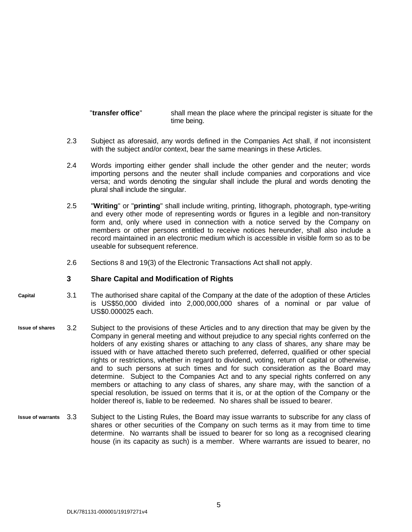"**transfer office**" shall mean the place where the principal register is situate for the time being.

- 2.3 Subject as aforesaid, any words defined in the Companies Act shall, if not inconsistent with the subject and/or context, bear the same meanings in these Articles.
- 2.4 Words importing either gender shall include the other gender and the neuter; words importing persons and the neuter shall include companies and corporations and vice versa; and words denoting the singular shall include the plural and words denoting the plural shall include the singular.
- 2.5 "**Writing**" or "**printing**" shall include writing, printing, lithograph, photograph, type-writing and every other mode of representing words or figures in a legible and non-transitory form and, only where used in connection with a notice served by the Company on members or other persons entitled to receive notices hereunder, shall also include a record maintained in an electronic medium which is accessible in visible form so as to be useable for subsequent reference.
- 2.6 Sections 8 and 19(3) of the Electronic Transactions Act shall not apply.

#### <span id="page-10-0"></span>**3 Share Capital and Modification of Rights**

- 3.1 The authorised share capital of the Company at the date of the adoption of these Articles is US\$50,000 divided into 2,000,000,000 shares of a nominal or par value of US\$0.000025 each. **Capital**
- 3.2 Subject to the provisions of these Articles and to any direction that may be given by the Company in general meeting and without prejudice to any special rights conferred on the holders of any existing shares or attaching to any class of shares, any share may be issued with or have attached thereto such preferred, deferred, qualified or other special rights or restrictions, whether in regard to dividend, voting, return of capital or otherwise, and to such persons at such times and for such consideration as the Board may determine. Subject to the Companies Act and to any special rights conferred on any members or attaching to any class of shares, any share may, with the sanction of a special resolution, be issued on terms that it is, or at the option of the Company or the holder thereof is, liable to be redeemed. No shares shall be issued to bearer. **Issue of shares**
- Subject to the Listing Rules, the Board may issue warrants to subscribe for any class of shares or other securities of the Company on such terms as it may from time to time determine. No warrants shall be issued to bearer for so long as a recognised clearing house (in its capacity as such) is a member. Where warrants are issued to bearer, no **Issue of warrants**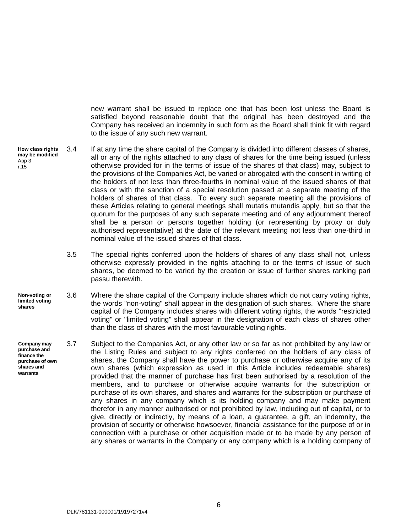new warrant shall be issued to replace one that has been lost unless the Board is satisfied beyond reasonable doubt that the original has been destroyed and the Company has received an indemnity in such form as the Board shall think fit with regard to the issue of any such new warrant.

- 3.4 If at any time the share capital of the Company is divided into different classes of shares, all or any of the rights attached to any class of shares for the time being issued (unless otherwise provided for in the terms of issue of the shares of that class) may, subject to the provisions of the Companies Act, be varied or abrogated with the consent in writing of the holders of not less than three-fourths in nominal value of the issued shares of that class or with the sanction of a special resolution passed at a separate meeting of the holders of shares of that class. To every such separate meeting all the provisions of these Articles relating to general meetings shall mutatis mutandis apply, but so that the quorum for the purposes of any such separate meeting and of any adjournment thereof shall be a person or persons together holding (or representing by proxy or duly authorised representative) at the date of the relevant meeting not less than one-third in nominal value of the issued shares of that class. **How class rights may be modified** App 3 r.15
	- 3.5 The special rights conferred upon the holders of shares of any class shall not, unless otherwise expressly provided in the rights attaching to or the terms of issue of such shares, be deemed to be varied by the creation or issue of further shares ranking pari passu therewith.
- 3.6 Where the share capital of the Company include shares which do not carry voting rights, the words "non-voting" shall appear in the designation of such shares. Where the share capital of the Company includes shares with different voting rights, the words "restricted voting" or "limited voting" shall appear in the designation of each class of shares other than the class of shares with the most favourable voting rights. **Non-voting or limited voting shares**
- 3.7 Subject to the Companies Act, or any other law or so far as not prohibited by any law or the Listing Rules and subject to any rights conferred on the holders of any class of shares, the Company shall have the power to purchase or otherwise acquire any of its own shares (which expression as used in this Article includes redeemable shares) provided that the manner of purchase has first been authorised by a resolution of the members, and to purchase or otherwise acquire warrants for the subscription or purchase of its own shares, and shares and warrants for the subscription or purchase of any shares in any company which is its holding company and may make payment therefor in any manner authorised or not prohibited by law, including out of capital, or to give, directly or indirectly, by means of a loan, a guarantee, a gift, an indemnity, the provision of security or otherwise howsoever, financial assistance for the purpose of or in connection with a purchase or other acquisition made or to be made by any person of any shares or warrants in the Company or any company which is a holding company of **Company may purchase and finance the purchase of own shares and warrants**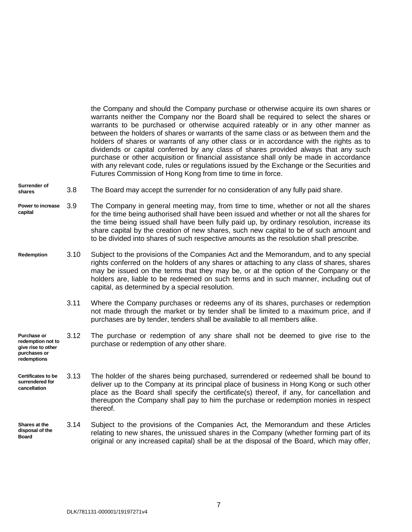the Company and should the Company purchase or otherwise acquire its own shares or warrants neither the Company nor the Board shall be required to select the shares or warrants to be purchased or otherwise acquired rateably or in any other manner as between the holders of shares or warrants of the same class or as between them and the holders of shares or warrants of any other class or in accordance with the rights as to dividends or capital conferred by any class of shares provided always that any such purchase or other acquisition or financial assistance shall only be made in accordance with any relevant code, rules or regulations issued by the Exchange or the Securities and Futures Commission of Hong Kong from time to time in force.

3.8 The Board may accept the surrender for no consideration of any fully paid share. **Surrender of shares**

- 3.9 The Company in general meeting may, from time to time, whether or not all the shares for the time being authorised shall have been issued and whether or not all the shares for the time being issued shall have been fully paid up, by ordinary resolution, increase its share capital by the creation of new shares, such new capital to be of such amount and to be divided into shares of such respective amounts as the resolution shall prescribe. **Power to increase capital**
- 3.10 Subject to the provisions of the Companies Act and the Memorandum, and to any special rights conferred on the holders of any shares or attaching to any class of shares, shares may be issued on the terms that they may be, or at the option of the Company or the holders are, liable to be redeemed on such terms and in such manner, including out of capital, as determined by a special resolution. **Redemption**
	- 3.11 Where the Company purchases or redeems any of its shares, purchases or redemption not made through the market or by tender shall be limited to a maximum price, and if purchases are by tender, tenders shall be available to all members alike.
- **Purchase or redemption not to give rise to other**  3.12 The purchase or redemption of any share shall not be deemed to give rise to the purchase or redemption of any other share.
- **Certificates to be surrendered for cancellation** 3.13 The holder of the shares being purchased, surrendered or redeemed shall be bound to deliver up to the Company at its principal place of business in Hong Kong or such other place as the Board shall specify the certificate(s) thereof, if any, for cancellation and thereupon the Company shall pay to him the purchase or redemption monies in respect thereof.
- 3.14 Subject to the provisions of the Companies Act, the Memorandum and these Articles relating to new shares, the unissued shares in the Company (whether forming part of its original or any increased capital) shall be at the disposal of the Board, which may offer, **Shares at the disposal of the Board**

**purchases or redemptions**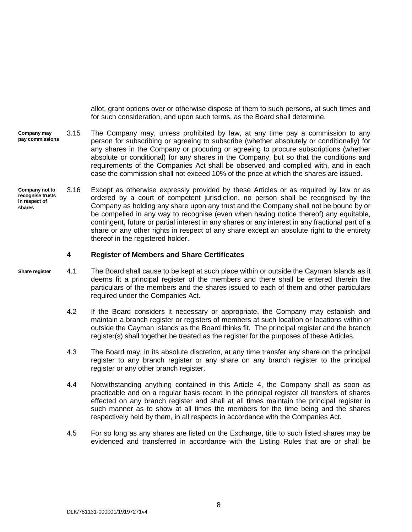allot, grant options over or otherwise dispose of them to such persons, at such times and for such consideration, and upon such terms, as the Board shall determine.

- 3.15 The Company may, unless prohibited by law, at any time pay a commission to any person for subscribing or agreeing to subscribe (whether absolutely or conditionally) for any shares in the Company or procuring or agreeing to procure subscriptions (whether absolute or conditional) for any shares in the Company, but so that the conditions and requirements of the Companies Act shall be observed and complied with, and in each case the commission shall not exceed 10% of the price at which the shares are issued. **Company may pay commissions**
- 3.16 Except as otherwise expressly provided by these Articles or as required by law or as ordered by a court of competent jurisdiction, no person shall be recognised by the Company as holding any share upon any trust and the Company shall not be bound by or be compelled in any way to recognise (even when having notice thereof) any equitable, contingent, future or partial interest in any shares or any interest in any fractional part of a share or any other rights in respect of any share except an absolute right to the entirety thereof in the registered holder. **Company not to recognise trusts in respect of shares**

#### <span id="page-13-0"></span>**4 Register of Members and Share Certificates**

- **Share register**
	- 4.1 The Board shall cause to be kept at such place within or outside the Cayman Islands as it deems fit a principal register of the members and there shall be entered therein the particulars of the members and the shares issued to each of them and other particulars required under the Companies Act.
		- 4.2 If the Board considers it necessary or appropriate, the Company may establish and maintain a branch register or registers of members at such location or locations within or outside the Cayman Islands as the Board thinks fit. The principal register and the branch register(s) shall together be treated as the register for the purposes of these Articles.
		- 4.3 The Board may, in its absolute discretion, at any time transfer any share on the principal register to any branch register or any share on any branch register to the principal register or any other branch register.
		- 4.4 Notwithstanding anything contained in this Article [4,](#page-13-0) the Company shall as soon as practicable and on a regular basis record in the principal register all transfers of shares effected on any branch register and shall at all times maintain the principal register in such manner as to show at all times the members for the time being and the shares respectively held by them, in all respects in accordance with the Companies Act.
		- 4.5 For so long as any shares are listed on the Exchange, title to such listed shares may be evidenced and transferred in accordance with the Listing Rules that are or shall be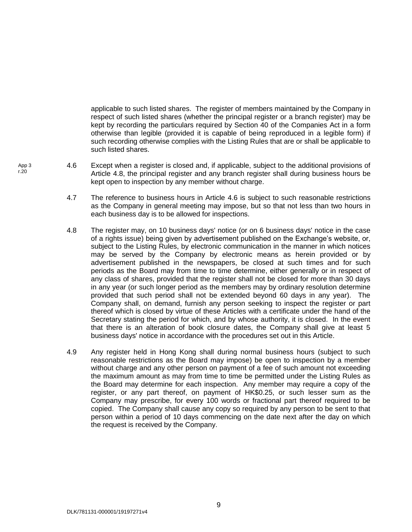applicable to such listed shares. The register of members maintained by the Company in respect of such listed shares (whether the principal register or a branch register) may be kept by recording the particulars required by Section 40 of the Companies Act in a form otherwise than legible (provided it is capable of being reproduced in a legible form) if such recording otherwise complies with the Listing Rules that are or shall be applicable to such listed shares.

- <span id="page-14-1"></span><span id="page-14-0"></span>4.6 Except when a register is closed and, if applicable, subject to the additional provisions of Article [4.8,](#page-14-0) the principal register and any branch register shall during business hours be kept open to inspection by any member without charge.
	- 4.7 The reference to business hours in Article [4.6](#page-14-1) is subject to such reasonable restrictions as the Company in general meeting may impose, but so that not less than two hours in each business day is to be allowed for inspections.
	- 4.8 The register may, on 10 business days' notice (or on 6 business days' notice in the case of a rights issue) being given by advertisement published on the Exchange's website, or, subject to the Listing Rules, by electronic communication in the manner in which notices may be served by the Company by electronic means as herein provided or by advertisement published in the newspapers, be closed at such times and for such periods as the Board may from time to time determine, either generally or in respect of any class of shares, provided that the register shall not be closed for more than 30 days in any year (or such longer period as the members may by ordinary resolution determine provided that such period shall not be extended beyond 60 days in any year). The Company shall, on demand, furnish any person seeking to inspect the register or part thereof which is closed by virtue of these Articles with a certificate under the hand of the Secretary stating the period for which, and by whose authority, it is closed. In the event that there is an alteration of book closure dates, the Company shall give at least 5 business days' notice in accordance with the procedures set out in this Article.
	- 4.9 Any register held in Hong Kong shall during normal business hours (subject to such reasonable restrictions as the Board may impose) be open to inspection by a member without charge and any other person on payment of a fee of such amount not exceeding the maximum amount as may from time to time be permitted under the Listing Rules as the Board may determine for each inspection. Any member may require a copy of the register, or any part thereof, on payment of HK\$0.25, or such lesser sum as the Company may prescribe, for every 100 words or fractional part thereof required to be copied. The Company shall cause any copy so required by any person to be sent to that person within a period of 10 days commencing on the date next after the day on which the request is received by the Company.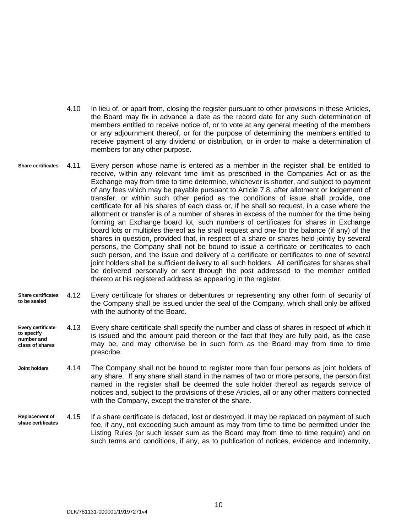- 4.10 In lieu of, or apart from, closing the register pursuant to other provisions in these Articles, the Board may fix in advance a date as the record date for any such determination of members entitled to receive notice of, or to vote at any general meeting of the members or any adjournment thereof, or for the purpose of determining the members entitled to receive payment of any dividend or distribution, or in order to make a determination of members for any other purpose.
- **Share certificates** Every person whose name is entered as a member in the register shall be entitled to receive, within any relevant time limit as prescribed in the Companies Act or as the Exchange may from time to time determine, whichever is shorter, and subject to payment of any fees which may be payable pursuant to Article [7.8,](#page-20-0) after allotment or lodgement of transfer, or within such other period as the conditions of issue shall provide, one certificate for all his shares of each class or, if he shall so request, in a case where the allotment or transfer is of a number of shares in excess of the number for the time being forming an Exchange board lot, such numbers of certificates for shares in Exchange board lots or multiples thereof as he shall request and one for the balance (if any) of the shares in question, provided that, in respect of a share or shares held jointly by several persons, the Company shall not be bound to issue a certificate or certificates to each such person, and the issue and delivery of a certificate or certificates to one of several joint holders shall be sufficient delivery to all such holders. All certificates for shares shall be delivered personally or sent through the post addressed to the member entitled thereto at his registered address as appearing in the register.
- **Share certificates to be sealed** 4.12 Every certificate for shares or debentures or representing any other form of security of the Company shall be issued under the seal of the Company, which shall only be affixed with the authority of the Board.
- **Every certificate to specify number and class of shares** 4.13 Every share certificate shall specify the number and class of shares in respect of which it is issued and the amount paid thereon or the fact that they are fully paid, as the case may be, and may otherwise be in such form as the Board may from time to time prescribe.
- 4.14 The Company shall not be bound to register more than four persons as joint holders of any share. If any share shall stand in the names of two or more persons, the person first named in the register shall be deemed the sole holder thereof as regards service of notices and, subject to the provisions of these Articles, all or any other matters connected with the Company, except the transfer of the share. **Joint holders**
- 4.15 If a share certificate is defaced, lost or destroyed, it may be replaced on payment of such fee, if any, not exceeding such amount as may from time to time be permitted under the Listing Rules (or such lesser sum as the Board may from time to time require) and on such terms and conditions, if any, as to publication of notices, evidence and indemnity, **Replacement of share certificates**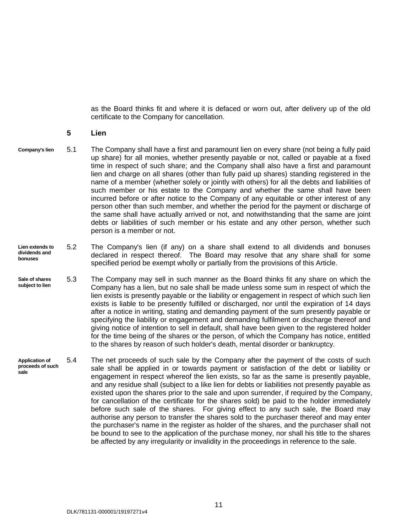as the Board thinks fit and where it is defaced or worn out, after delivery up of the old certificate to the Company for cancellation.

#### <span id="page-16-0"></span>**5 Lien**

- 5.1 The Company shall have a first and paramount lien on every share (not being a fully paid up share) for all monies, whether presently payable or not, called or payable at a fixed time in respect of such share; and the Company shall also have a first and paramount lien and charge on all shares (other than fully paid up shares) standing registered in the name of a member (whether solely or jointly with others) for all the debts and liabilities of such member or his estate to the Company and whether the same shall have been incurred before or after notice to the Company of any equitable or other interest of any person other than such member, and whether the period for the payment or discharge of the same shall have actually arrived or not, and notwithstanding that the same are joint debts or liabilities of such member or his estate and any other person, whether such person is a member or not. **Company's lien**
	- 5.2 The Company's lien (if any) on a share shall extend to all dividends and bonuses declared in respect thereof. The Board may resolve that any share shall for some specified period be exempt wholly or partially from the provisions of this Article. **Lien extends to dividends and bonuses**
	- 5.3 The Company may sell in such manner as the Board thinks fit any share on which the Company has a lien, but no sale shall be made unless some sum in respect of which the lien exists is presently payable or the liability or engagement in respect of which such lien exists is liable to be presently fulfilled or discharged, nor until the expiration of 14 days after a notice in writing, stating and demanding payment of the sum presently payable or specifying the liability or engagement and demanding fulfilment or discharge thereof and giving notice of intention to sell in default, shall have been given to the registered holder for the time being of the shares or the person, of which the Company has notice, entitled to the shares by reason of such holder's death, mental disorder or bankruptcy. **Sale of shares subject to lien**
	- **Application of proceeds of such sale**  5.4 The net proceeds of such sale by the Company after the payment of the costs of such sale shall be applied in or towards payment or satisfaction of the debt or liability or engagement in respect whereof the lien exists, so far as the same is presently payable, and any residue shall (subject to a like lien for debts or liabilities not presently payable as existed upon the shares prior to the sale and upon surrender, if required by the Company, for cancellation of the certificate for the shares sold) be paid to the holder immediately before such sale of the shares. For giving effect to any such sale, the Board may authorise any person to transfer the shares sold to the purchaser thereof and may enter the purchaser's name in the register as holder of the shares, and the purchaser shall not be bound to see to the application of the purchase money, nor shall his title to the shares be affected by any irregularity or invalidity in the proceedings in reference to the sale.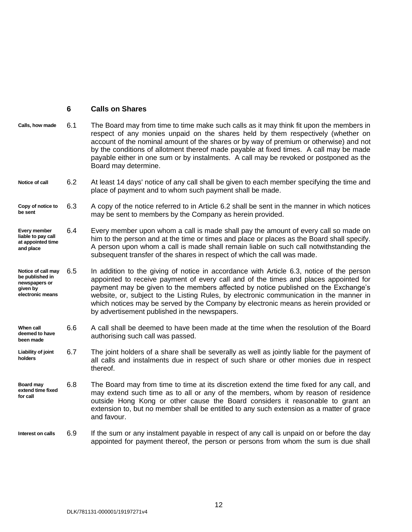#### <span id="page-17-0"></span>**6 Calls on Shares**

- **Calls, how made** 6.1 The Board may from time to time make such calls as it may think fit upon the members in respect of any monies unpaid on the shares held by them respectively (whether on account of the nominal amount of the shares or by way of premium or otherwise) and not by the conditions of allotment thereof made payable at fixed times. A call may be made payable either in one sum or by instalments. A call may be revoked or postponed as the Board may determine.
- <span id="page-17-1"></span>**Notice of call** 6.2 At least 14 days' notice of any call shall be given to each member specifying the time and place of payment and to whom such payment shall be made.
- <span id="page-17-2"></span>**Copy of notice to be sent** 6.3 A copy of the notice referred to in Article [6.2](#page-17-1) shall be sent in the manner in which notices may be sent to members by the Company as herein provided.
- **Every member liable to pay call at appointed time and place** 6.4 Every member upon whom a call is made shall pay the amount of every call so made on him to the person and at the time or times and place or places as the Board shall specify. A person upon whom a call is made shall remain liable on such call notwithstanding the subsequent transfer of the shares in respect of which the call was made.
- **Notice of call may be published in newspapers or given by electronic means** 6.5 In addition to the giving of notice in accordance with Article [6.3,](#page-17-2) notice of the person appointed to receive payment of every call and of the times and places appointed for payment may be given to the members affected by notice published on the Exchange's website, or, subject to the Listing Rules, by electronic communication in the manner in which notices may be served by the Company by electronic means as herein provided or by advertisement published in the newspapers.
- **When call deemed to have been made** 6.6 A call shall be deemed to have been made at the time when the resolution of the Board authorising such call was passed.
- **Liability of joint holders** 6.7 The joint holders of a share shall be severally as well as jointly liable for the payment of all calls and instalments due in respect of such share or other monies due in respect thereof.
- **Board may extend time fixed for call** 6.8 The Board may from time to time at its discretion extend the time fixed for any call, and may extend such time as to all or any of the members, whom by reason of residence outside Hong Kong or other cause the Board considers it reasonable to grant an extension to, but no member shall be entitled to any such extension as a matter of grace and favour.

#### 6.9 If the sum or any instalment payable in respect of any call is unpaid on or before the day appointed for payment thereof, the person or persons from whom the sum is due shall **Interest on calls**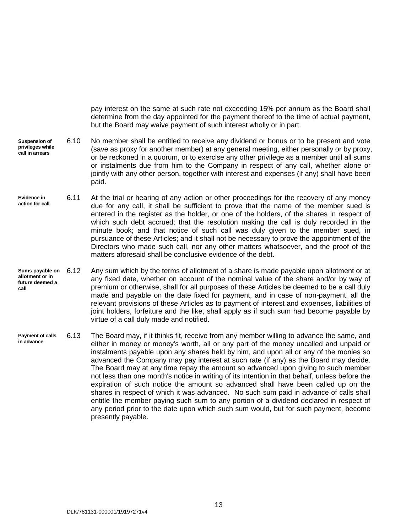<span id="page-18-0"></span>pay interest on the same at such rate not exceeding 15% per annum as the Board shall determine from the day appointed for the payment thereof to the time of actual payment, but the Board may waive payment of such interest wholly or in part.

- 6.10 No member shall be entitled to receive any dividend or bonus or to be present and vote (save as proxy for another member) at any general meeting, either personally or by proxy, or be reckoned in a quorum, or to exercise any other privilege as a member until all sums or instalments due from him to the Company in respect of any call, whether alone or jointly with any other person, together with interest and expenses (if any) shall have been paid. **Suspension of privileges while call in arrears**
- **Evidence in action for call** 6.11 At the trial or hearing of any action or other proceedings for the recovery of any money due for any call, it shall be sufficient to prove that the name of the member sued is entered in the register as the holder, or one of the holders, of the shares in respect of which such debt accrued; that the resolution making the call is duly recorded in the minute book; and that notice of such call was duly given to the member sued, in pursuance of these Articles; and it shall not be necessary to prove the appointment of the Directors who made such call, nor any other matters whatsoever, and the proof of the matters aforesaid shall be conclusive evidence of the debt.
- Any sum which by the terms of allotment of a share is made payable upon allotment or at any fixed date, whether on account of the nominal value of the share and/or by way of premium or otherwise, shall for all purposes of these Articles be deemed to be a call duly made and payable on the date fixed for payment, and in case of non-payment, all the relevant provisions of these Articles as to payment of interest and expenses, liabilities of joint holders, forfeiture and the like, shall apply as if such sum had become payable by virtue of a call duly made and notified. **Sums payable on allotment or in future deemed a call**
- **Payment of calls in advance** 6.13 The Board may, if it thinks fit, receive from any member willing to advance the same, and either in money or money's worth, all or any part of the money uncalled and unpaid or instalments payable upon any shares held by him, and upon all or any of the monies so advanced the Company may pay interest at such rate (if any) as the Board may decide. The Board may at any time repay the amount so advanced upon giving to such member not less than one month's notice in writing of its intention in that behalf, unless before the expiration of such notice the amount so advanced shall have been called up on the shares in respect of which it was advanced. No such sum paid in advance of calls shall entitle the member paying such sum to any portion of a dividend declared in respect of any period prior to the date upon which such sum would, but for such payment, become presently payable.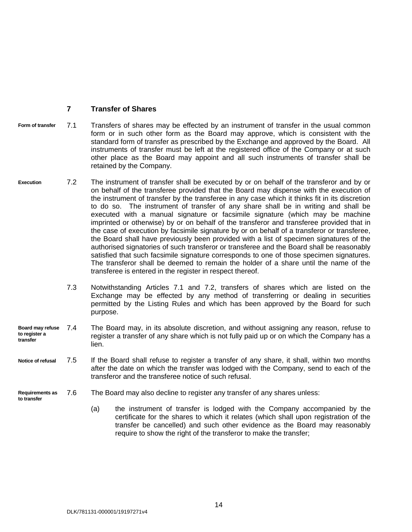#### <span id="page-19-1"></span><span id="page-19-0"></span>**7 Transfer of Shares**

- **Form of transfer** 7.1 Transfers of shares may be effected by an instrument of transfer in the usual common form or in such other form as the Board may approve, which is consistent with the standard form of transfer as prescribed by the Exchange and approved by the Board. All instruments of transfer must be left at the registered office of the Company or at such other place as the Board may appoint and all such instruments of transfer shall be retained by the Company.
- <span id="page-19-2"></span>**Execution** 7.2 The instrument of transfer shall be executed by or on behalf of the transferor and by or on behalf of the transferee provided that the Board may dispense with the execution of the instrument of transfer by the transferee in any case which it thinks fit in its discretion to do so. The instrument of transfer of any share shall be in writing and shall be executed with a manual signature or facsimile signature (which may be machine imprinted or otherwise) by or on behalf of the transferor and transferee provided that in the case of execution by facsimile signature by or on behalf of a transferor or transferee, the Board shall have previously been provided with a list of specimen signatures of the authorised signatories of such transferor or transferee and the Board shall be reasonably satisfied that such facsimile signature corresponds to one of those specimen signatures. The transferor shall be deemed to remain the holder of a share until the name of the transferee is entered in the register in respect thereof.
	- 7.3 Notwithstanding Articles [7.1](#page-19-1) and [7.2,](#page-19-2) transfers of shares which are listed on the Exchange may be effected by any method of transferring or dealing in securities permitted by the Listing Rules and which has been approved by the Board for such purpose.
- **Board may refuse to register a transfer** 7.4 The Board may, in its absolute discretion, and without assigning any reason, refuse to register a transfer of any share which is not fully paid up or on which the Company has a lien.
- **Notice of refusal** 7.5 If the Board shall refuse to register a transfer of any share, it shall, within two months after the date on which the transfer was lodged with the Company, send to each of the transferor and the transferee notice of such refusal.
- **Requirements as to transfer**
	- 7.6 The Board may also decline to register any transfer of any shares unless:
		- (a) the instrument of transfer is lodged with the Company accompanied by the certificate for the shares to which it relates (which shall upon registration of the transfer be cancelled) and such other evidence as the Board may reasonably require to show the right of the transferor to make the transfer;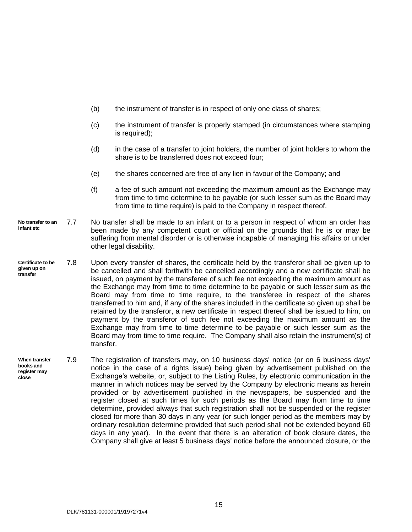- (b) the instrument of transfer is in respect of only one class of shares;
- (c) the instrument of transfer is properly stamped (in circumstances where stamping is required);
- (d) in the case of a transfer to joint holders, the number of joint holders to whom the share is to be transferred does not exceed four;
- (e) the shares concerned are free of any lien in favour of the Company; and
- <span id="page-20-0"></span>(f) a fee of such amount not exceeding the maximum amount as the Exchange may from time to time determine to be payable (or such lesser sum as the Board may from time to time require) is paid to the Company in respect thereof.
- **No transfer to an infant etc** 7.7 No transfer shall be made to an infant or to a person in respect of whom an order has been made by any competent court or official on the grounds that he is or may be suffering from mental disorder or is otherwise incapable of managing his affairs or under other legal disability.
- **Certificate to be given up on transfer** 7.8 Upon every transfer of shares, the certificate held by the transferor shall be given up to be cancelled and shall forthwith be cancelled accordingly and a new certificate shall be issued, on payment by the transferee of such fee not exceeding the maximum amount as the Exchange may from time to time determine to be payable or such lesser sum as the Board may from time to time require, to the transferee in respect of the shares transferred to him and, if any of the shares included in the certificate so given up shall be retained by the transferor, a new certificate in respect thereof shall be issued to him, on payment by the transferor of such fee not exceeding the maximum amount as the Exchange may from time to time determine to be payable or such lesser sum as the Board may from time to time require. The Company shall also retain the instrument(s) of transfer.
- **When transfer books and register may close** 7.9 The registration of transfers may, on 10 business days' notice (or on 6 business days' notice in the case of a rights issue) being given by advertisement published on the Exchange's website, or, subject to the Listing Rules, by electronic communication in the manner in which notices may be served by the Company by electronic means as herein provided or by advertisement published in the newspapers, be suspended and the register closed at such times for such periods as the Board may from time to time determine, provided always that such registration shall not be suspended or the register closed for more than 30 days in any year (or such longer period as the members may by ordinary resolution determine provided that such period shall not be extended beyond 60 days in any year). In the event that there is an alteration of book closure dates, the Company shall give at least 5 business days' notice before the announced closure, or the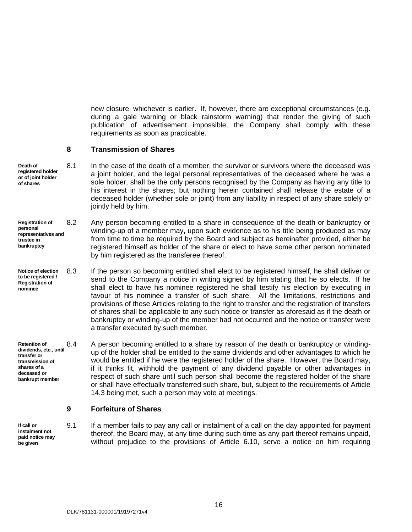new closure, whichever is earlier. If, however, there are exceptional circumstances (e.g. during a gale warning or black rainstorm warning) that render the giving of such publication of advertisement impossible, the Company shall comply with these requirements as soon as practicable.

#### <span id="page-21-0"></span>**8 Transmission of Shares**

- **Death of registered holder or of joint holder of shares** 8.1 In the case of the death of a member, the survivor or survivors where the deceased was a joint holder, and the legal personal representatives of the deceased where he was a sole holder, shall be the only persons recognised by the Company as having any title to his interest in the shares; but nothing herein contained shall release the estate of a deceased holder (whether sole or joint) from any liability in respect of any share solely or jointly held by him.
- <span id="page-21-2"></span>**Registration of personal representatives and trustee in bankruptcy** 8.2 Any person becoming entitled to a share in consequence of the death or bankruptcy or winding-up of a member may, upon such evidence as to his title being produced as may from time to time be required by the Board and subject as hereinafter provided, either be registered himself as holder of the share or elect to have some other person nominated by him registered as the transferee thereof.
- **Notice of election to be registered / Registration of nominee** 8.3 If the person so becoming entitled shall elect to be registered himself, he shall deliver or send to the Company a notice in writing signed by him stating that he so elects. If he shall elect to have his nominee registered he shall testify his election by executing in favour of his nominee a transfer of such share. All the limitations, restrictions and provisions of these Articles relating to the right to transfer and the registration of transfers of shares shall be applicable to any such notice or transfer as aforesaid as if the death or bankruptcy or winding-up of the member had not occurred and the notice or transfer were a transfer executed by such member.

**Retention of dividends, etc., until transfer or transmission of shares of a deceased or bankrupt member** 8.4 A person becoming entitled to a share by reason of the death or bankruptcy or windingup of the holder shall be entitled to the same dividends and other advantages to which he would be entitled if he were the registered holder of the share. However, the Board may, if it thinks fit, withhold the payment of any dividend payable or other advantages in respect of such share until such person shall become the registered holder of the share or shall have effectually transferred such share, but, subject to the requirements of Article [14.3](#page-30-0) being met, such a person may vote at meetings.

#### <span id="page-21-1"></span>**9 Forfeiture of Shares**

**If call or instalment not paid notice may be given**

9.1 If a member fails to pay any call or instalment of a call on the day appointed for payment thereof, the Board may, at any time during such time as any part thereof remains unpaid, without prejudice to the provisions of Article [6.10,](#page-18-0) serve a notice on him requiring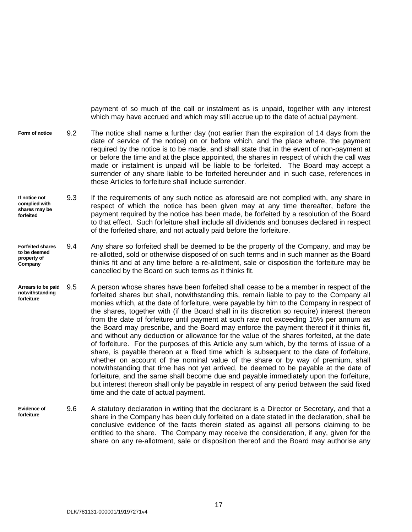payment of so much of the call or instalment as is unpaid, together with any interest which may have accrued and which may still accrue up to the date of actual payment.

- **Form of notice** 9.2 The notice shall name a further day (not earlier than the expiration of 14 days from the date of service of the notice) on or before which, and the place where, the payment required by the notice is to be made, and shall state that in the event of non-payment at or before the time and at the place appointed, the shares in respect of which the call was made or instalment is unpaid will be liable to be forfeited. The Board may accept a surrender of any share liable to be forfeited hereunder and in such case, references in these Articles to forfeiture shall include surrender.
- **If notice not complied with shares may be forfeited** 9.3 If the requirements of any such notice as aforesaid are not complied with, any share in respect of which the notice has been given may at any time thereafter, before the payment required by the notice has been made, be forfeited by a resolution of the Board to that effect. Such forfeiture shall include all dividends and bonuses declared in respect of the forfeited share, and not actually paid before the forfeiture.
- **Forfeited shares to be deemed property of Company** 9.4 Any share so forfeited shall be deemed to be the property of the Company, and may be re-allotted, sold or otherwise disposed of on such terms and in such manner as the Board thinks fit and at any time before a re-allotment, sale or disposition the forfeiture may be cancelled by the Board on such terms as it thinks fit.
- **Arrears to be paid notwithstanding forfeiture** 9.5 A person whose shares have been forfeited shall cease to be a member in respect of the forfeited shares but shall, notwithstanding this, remain liable to pay to the Company all monies which, at the date of forfeiture, were payable by him to the Company in respect of the shares, together with (if the Board shall in its discretion so require) interest thereon from the date of forfeiture until payment at such rate not exceeding 15% per annum as the Board may prescribe, and the Board may enforce the payment thereof if it thinks fit, and without any deduction or allowance for the value of the shares forfeited, at the date of forfeiture. For the purposes of this Article any sum which, by the terms of issue of a share, is payable thereon at a fixed time which is subsequent to the date of forfeiture, whether on account of the nominal value of the share or by way of premium, shall notwithstanding that time has not yet arrived, be deemed to be payable at the date of forfeiture, and the same shall become due and payable immediately upon the forfeiture, but interest thereon shall only be payable in respect of any period between the said fixed time and the date of actual payment.
- **Evidence of forfeiture** 9.6 A statutory declaration in writing that the declarant is a Director or Secretary, and that a share in the Company has been duly forfeited on a date stated in the declaration, shall be conclusive evidence of the facts therein stated as against all persons claiming to be entitled to the share. The Company may receive the consideration, if any, given for the share on any re-allotment, sale or disposition thereof and the Board may authorise any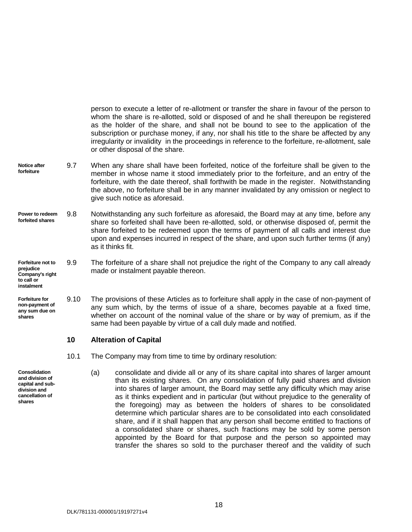person to execute a letter of re-allotment or transfer the share in favour of the person to whom the share is re-allotted, sold or disposed of and he shall thereupon be registered as the holder of the share, and shall not be bound to see to the application of the subscription or purchase money, if any, nor shall his title to the share be affected by any irregularity or invalidity in the proceedings in reference to the forfeiture, re-allotment, sale or other disposal of the share.

- **Notice after forfeiture** 9.7 When any share shall have been forfeited, notice of the forfeiture shall be given to the member in whose name it stood immediately prior to the forfeiture, and an entry of the forfeiture, with the date thereof, shall forthwith be made in the register. Notwithstanding the above, no forfeiture shall be in any manner invalidated by any omission or neglect to give such notice as aforesaid.
- **Power to redeem forfeited shares** 9.8 Notwithstanding any such forfeiture as aforesaid, the Board may at any time, before any share so forfeited shall have been re-allotted, sold, or otherwise disposed of, permit the share forfeited to be redeemed upon the terms of payment of all calls and interest due upon and expenses incurred in respect of the share, and upon such further terms (if any) as it thinks fit.

#### **Forfeiture not to prejudice Company's right**  9.9 The forfeiture of a share shall not prejudice the right of the Company to any call already made or instalment payable thereon.

**Forfeiture for non-payment of any sum due on shares** 9.10 The provisions of these Articles as to forfeiture shall apply in the case of non-payment of any sum which, by the terms of issue of a share, becomes payable at a fixed time, whether on account of the nominal value of the share or by way of premium, as if the same had been payable by virtue of a call duly made and notified.

#### <span id="page-23-0"></span>**10 Alteration of Capital**

- 10.1 The Company may from time to time by ordinary resolution:
	- (a) consolidate and divide all or any of its share capital into shares of larger amount than its existing shares. On any consolidation of fully paid shares and division into shares of larger amount, the Board may settle any difficulty which may arise as it thinks expedient and in particular (but without prejudice to the generality of the foregoing) may as between the holders of shares to be consolidated determine which particular shares are to be consolidated into each consolidated share, and if it shall happen that any person shall become entitled to fractions of a consolidated share or shares, such fractions may be sold by some person appointed by the Board for that purpose and the person so appointed may transfer the shares so sold to the purchaser thereof and the validity of such
- **Consolidation and division of capital and subdivision and cancellation of shares**

**to call or instalment**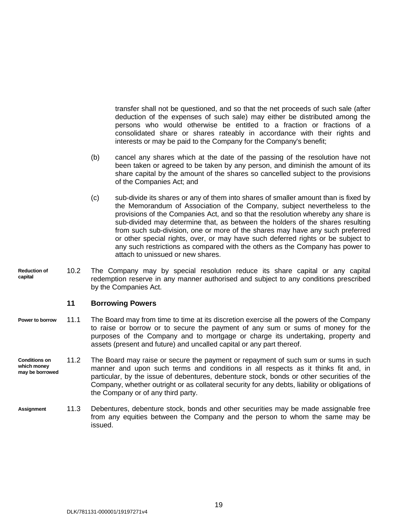transfer shall not be questioned, and so that the net proceeds of such sale (after deduction of the expenses of such sale) may either be distributed among the persons who would otherwise be entitled to a fraction or fractions of a consolidated share or shares rateably in accordance with their rights and interests or may be paid to the Company for the Company's benefit;

- (b) cancel any shares which at the date of the passing of the resolution have not been taken or agreed to be taken by any person, and diminish the amount of its share capital by the amount of the shares so cancelled subject to the provisions of the Companies Act; and
- (c) sub-divide its shares or any of them into shares of smaller amount than is fixed by the Memorandum of Association of the Company, subject nevertheless to the provisions of the Companies Act, and so that the resolution whereby any share is sub-divided may determine that, as between the holders of the shares resulting from such sub-division, one or more of the shares may have any such preferred or other special rights, over, or may have such deferred rights or be subject to any such restrictions as compared with the others as the Company has power to attach to unissued or new shares.
- **Reduction of capital** 10.2 The Company may by special resolution reduce its share capital or any capital redemption reserve in any manner authorised and subject to any conditions prescribed by the Companies Act.

#### <span id="page-24-0"></span>**11 Borrowing Powers**

- 11.1 The Board may from time to time at its discretion exercise all the powers of the Company to raise or borrow or to secure the payment of any sum or sums of money for the purposes of the Company and to mortgage or charge its undertaking, property and assets (present and future) and uncalled capital or any part thereof. **Power to borrow**
- **Conditions on which money may be borrowed** 11.2 The Board may raise or secure the payment or repayment of such sum or sums in such manner and upon such terms and conditions in all respects as it thinks fit and, in particular, by the issue of debentures, debenture stock, bonds or other securities of the Company, whether outright or as collateral security for any debts, liability or obligations of the Company or of any third party.
- 11.3 Debentures, debenture stock, bonds and other securities may be made assignable free from any equities between the Company and the person to whom the same may be issued. **Assignment**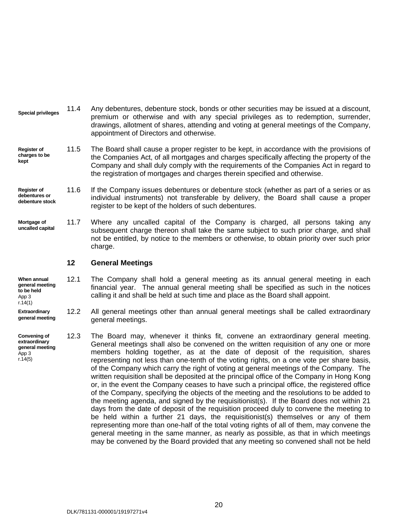- 11.4 Any debentures, debenture stock, bonds or other securities may be issued at a discount, premium or otherwise and with any special privileges as to redemption, surrender, drawings, allotment of shares, attending and voting at general meetings of the Company, appointment of Directors and otherwise. **Special privileges**
- 11.5 The Board shall cause a proper register to be kept, in accordance with the provisions of the Companies Act, of all mortgages and charges specifically affecting the property of the Company and shall duly comply with the requirements of the Companies Act in regard to the registration of mortgages and charges therein specified and otherwise. **Register of charges to be kept**
- 11.6 If the Company issues debentures or debenture stock (whether as part of a series or as individual instruments) not transferable by delivery, the Board shall cause a proper register to be kept of the holders of such debentures. **Register of debentures or debenture stock**
- 11.7 Where any uncalled capital of the Company is charged, all persons taking any subsequent charge thereon shall take the same subject to such prior charge, and shall not be entitled, by notice to the members or otherwise, to obtain priority over such prior charge. **Mortgage of uncalled capital**

#### <span id="page-25-0"></span>**12 General Meetings**

- **When annual general meeting to be held** App 3 r.14(1) 12.1 The Company shall hold a general meeting as its annual general meeting in each financial year. The annual general meeting shall be specified as such in the notices calling it and shall be held at such time and place as the Board shall appoint.
- **Extraordinary general meeting** 12.2 All general meetings other than annual general meetings shall be called extraordinary general meetings.
- **Convening of extraordinary general meeting** App 3 r.14(5) 12.3 The Board may, whenever it thinks fit, convene an extraordinary general meeting. General meetings shall also be convened on the written requisition of any one or more members holding together, as at the date of deposit of the requisition, shares representing not less than one-tenth of the voting rights, on a one vote per share basis, of the Company which carry the right of voting at general meetings of the Company. The written requisition shall be deposited at the principal office of the Company in Hong Kong or, in the event the Company ceases to have such a principal office, the registered office of the Company, specifying the objects of the meeting and the resolutions to be added to the meeting agenda, and signed by the requisitionist(s). If the Board does not within 21 days from the date of deposit of the requisition proceed duly to convene the meeting to be held within a further 21 days, the requisitionist(s) themselves or any of them representing more than one-half of the total voting rights of all of them, may convene the general meeting in the same manner, as nearly as possible, as that in which meetings may be convened by the Board provided that any meeting so convened shall not be held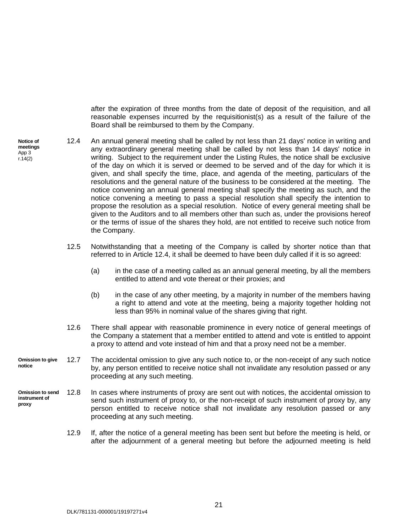<span id="page-26-0"></span>after the expiration of three months from the date of deposit of the requisition, and all reasonable expenses incurred by the requisitionist(s) as a result of the failure of the Board shall be reimbursed to them by the Company.

- **Notice of meetings** App 3 r.14(2) 12.4 An annual general meeting shall be called by not less than 21 days' notice in writing and any extraordinary general meeting shall be called by not less than 14 days' notice in writing. Subject to the requirement under the Listing Rules, the notice shall be exclusive of the day on which it is served or deemed to be served and of the day for which it is given, and shall specify the time, place, and agenda of the meeting, particulars of the resolutions and the general nature of the business to be considered at the meeting. The notice convening an annual general meeting shall specify the meeting as such, and the notice convening a meeting to pass a special resolution shall specify the intention to propose the resolution as a special resolution. Notice of every general meeting shall be given to the Auditors and to all members other than such as, under the provisions hereof or the terms of issue of the shares they hold, are not entitled to receive such notice from the Company.
	- 12.5 Notwithstanding that a meeting of the Company is called by shorter notice than that referred to in Article [12.4,](#page-26-0) it shall be deemed to have been duly called if it is so agreed:
		- (a) in the case of a meeting called as an annual general meeting, by all the members entitled to attend and vote thereat or their proxies; and
		- (b) in the case of any other meeting, by a majority in number of the members having a right to attend and vote at the meeting, being a majority together holding not less than 95% in nominal value of the shares giving that right.
	- 12.6 There shall appear with reasonable prominence in every notice of general meetings of the Company a statement that a member entitled to attend and vote is entitled to appoint a proxy to attend and vote instead of him and that a proxy need not be a member.
- **Omission to give notice** 12.7 The accidental omission to give any such notice to, or the non-receipt of any such notice by, any person entitled to receive notice shall not invalidate any resolution passed or any proceeding at any such meeting.
- <span id="page-26-1"></span>**Omission to send instrument of proxy** 12.8 In cases where instruments of proxy are sent out with notices, the accidental omission to send such instrument of proxy to, or the non-receipt of such instrument of proxy by, any person entitled to receive notice shall not invalidate any resolution passed or any proceeding at any such meeting.
	- 12.9 If, after the notice of a general meeting has been sent but before the meeting is held, or after the adjournment of a general meeting but before the adjourned meeting is held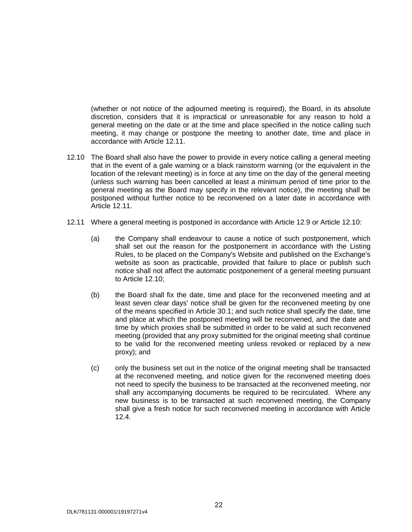(whether or not notice of the adjourned meeting is required), the Board, in its absolute discretion, considers that it is impractical or unreasonable for any reason to hold a general meeting on the date or at the time and place specified in the notice calling such meeting, it may change or postpone the meeting to another date, time and place in accordance with Article [12.11.](#page-27-0)

- <span id="page-27-1"></span>12.10 The Board shall also have the power to provide in every notice calling a general meeting that in the event of a gale warning or a black rainstorm warning (or the equivalent in the location of the relevant meeting) is in force at any time on the day of the general meeting (unless such warning has been cancelled at least a minimum period of time prior to the general meeting as the Board may specify in the relevant notice), the meeting shall be postponed without further notice to be reconvened on a later date in accordance with Article [12.11.](#page-27-0)
- <span id="page-27-0"></span>12.11 Where a general meeting is postponed in accordance with Article [12.9](#page-26-1) or Article [12.10:](#page-27-1)
	- (a) the Company shall endeavour to cause a notice of such postponement, which shall set out the reason for the postponement in accordance with the Listing Rules, to be placed on the Company's Website and published on the Exchange's website as soon as practicable, provided that failure to place or publish such notice shall not affect the automatic postponement of a general meeting pursuant to Article [12.10;](#page-27-1)
	- (b) the Board shall fix the date, time and place for the reconvened meeting and at least seven clear days' notice shall be given for the reconvened meeting by one of the means specified in Article [30.1;](#page-58-1) and such notice shall specify the date, time and place at which the postponed meeting will be reconvened, and the date and time by which proxies shall be submitted in order to be valid at such reconvened meeting (provided that any proxy submitted for the original meeting shall continue to be valid for the reconvened meeting unless revoked or replaced by a new proxy); and
	- (c) only the business set out in the notice of the original meeting shall be transacted at the reconvened meeting, and notice given for the reconvened meeting does not need to specify the business to be transacted at the reconvened meeting, nor shall any accompanying documents be required to be recirculated. Where any new business is to be transacted at such reconvened meeting, the Company shall give a fresh notice for such reconvened meeting in accordance with Article [12.4.](#page-26-0)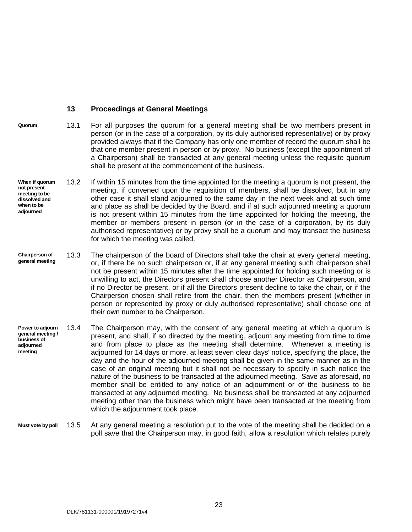#### <span id="page-28-0"></span>**13 Proceedings at General Meetings**

- **Quorum** 13.1 For all purposes the quorum for a general meeting shall be two members present in person (or in the case of a corporation, by its duly authorised representative) or by proxy provided always that if the Company has only one member of record the quorum shall be that one member present in person or by proxy. No business (except the appointment of a Chairperson) shall be transacted at any general meeting unless the requisite quorum shall be present at the commencement of the business.
- **When if quorum not present meeting to be dissolved and when to be adjourned** 13.2 If within 15 minutes from the time appointed for the meeting a quorum is not present, the meeting, if convened upon the requisition of members, shall be dissolved, but in any other case it shall stand adjourned to the same day in the next week and at such time and place as shall be decided by the Board, and if at such adjourned meeting a quorum is not present within 15 minutes from the time appointed for holding the meeting, the member or members present in person (or in the case of a corporation, by its duly authorised representative) or by proxy shall be a quorum and may transact the business for which the meeting was called.
- 13.3 The chairperson of the board of Directors shall take the chair at every general meeting, or, if there be no such chairperson or, if at any general meeting such chairperson shall not be present within 15 minutes after the time appointed for holding such meeting or is unwilling to act, the Directors present shall choose another Director as Chairperson, and if no Director be present, or if all the Directors present decline to take the chair, or if the Chairperson chosen shall retire from the chair, then the members present (whether in person or represented by proxy or duly authorised representative) shall choose one of their own number to be Chairperson. **Chairperson of general meeting**
- **Power to adjourn general meeting / business of adjourned meeting** 13.4 The Chairperson may, with the consent of any general meeting at which a quorum is present, and shall, if so directed by the meeting, adjourn any meeting from time to time and from place to place as the meeting shall determine. Whenever a meeting is adjourned for 14 days or more, at least seven clear days' notice, specifying the place, the day and the hour of the adjourned meeting shall be given in the same manner as in the case of an original meeting but it shall not be necessary to specify in such notice the nature of the business to be transacted at the adjourned meeting. Save as aforesaid, no member shall be entitled to any notice of an adjournment or of the business to be transacted at any adjourned meeting. No business shall be transacted at any adjourned meeting other than the business which might have been transacted at the meeting from which the adjournment took place.
- **Must vote by poll** 13.5 At any general meeting a resolution put to the vote of the meeting shall be decided on a poll save that the Chairperson may, in good faith, allow a resolution which relates purely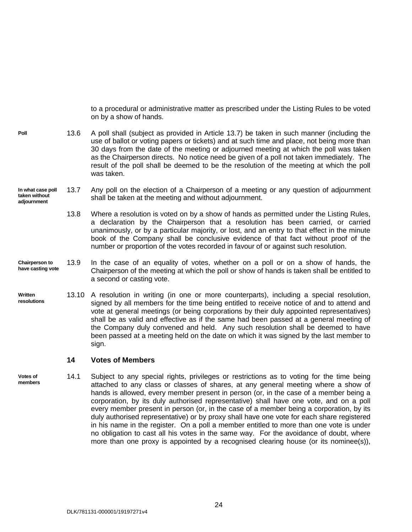to a procedural or administrative matter as prescribed under the Listing Rules to be voted on by a show of hands.

- 13.6 A poll shall (subject as provided in Article [13.7\)](#page-29-2) be taken in such manner (including the use of ballot or voting papers or tickets) and at such time and place, not being more than 30 days from the date of the meeting or adjourned meeting at which the poll was taken as the Chairperson directs. No notice need be given of a poll not taken immediately. The result of the poll shall be deemed to be the resolution of the meeting at which the poll was taken. **Poll**
- <span id="page-29-2"></span>**In what case poll taken without adjournment** 13.7 Any poll on the election of a Chairperson of a meeting or any question of adjournment shall be taken at the meeting and without adjournment.
	- 13.8 Where a resolution is voted on by a show of hands as permitted under the Listing Rules, a declaration by the Chairperson that a resolution has been carried, or carried unanimously, or by a particular majority, or lost, and an entry to that effect in the minute book of the Company shall be conclusive evidence of that fact without proof of the number or proportion of the votes recorded in favour of or against such resolution.
- **Chairperson to have casting vote** 13.9 In the case of an equality of votes, whether on a poll or on a show of hands, the Chairperson of the meeting at which the poll or show of hands is taken shall be entitled to a second or casting vote.
- **Written resolutions** 13.10 A resolution in writing (in one or more counterparts), including a special resolution, signed by all members for the time being entitled to receive notice of and to attend and vote at general meetings (or being corporations by their duly appointed representatives) shall be as valid and effective as if the same had been passed at a general meeting of the Company duly convened and held. Any such resolution shall be deemed to have been passed at a meeting held on the date on which it was signed by the last member to sign.

#### <span id="page-29-1"></span><span id="page-29-0"></span>**14 Votes of Members**

**Votes of members** 14.1 Subject to any special rights, privileges or restrictions as to voting for the time being attached to any class or classes of shares, at any general meeting where a show of hands is allowed, every member present in person (or, in the case of a member being a corporation, by its duly authorised representative) shall have one vote, and on a poll every member present in person (or, in the case of a member being a corporation, by its duly authorised representative) or by proxy shall have one vote for each share registered in his name in the register. On a poll a member entitled to more than one vote is under no obligation to cast all his votes in the same way. For the avoidance of doubt, where more than one proxy is appointed by a recognised clearing house (or its nominee(s)),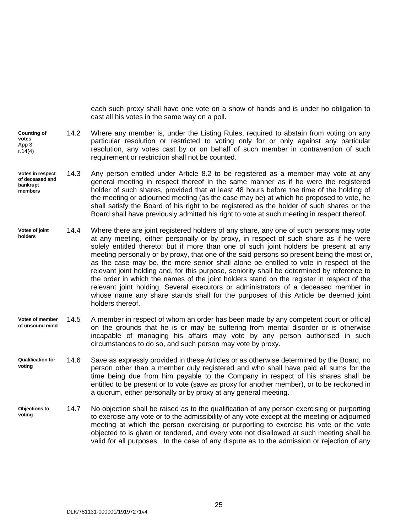<span id="page-30-0"></span>each such proxy shall have one vote on a show of hands and is under no obligation to cast all his votes in the same way on a poll.

- **Counting of votes** App 3  $r.14(4)$ 14.2 Where any member is, under the Listing Rules, required to abstain from voting on any particular resolution or restricted to voting only for or only against any particular resolution, any votes cast by or on behalf of such member in contravention of such requirement or restriction shall not be counted.
- **Votes in respect of deceased and bankrupt members** 14.3 Any person entitled under Article [8.2](#page-21-2) to be registered as a member may vote at any general meeting in respect thereof in the same manner as if he were the registered holder of such shares, provided that at least 48 hours before the time of the holding of the meeting or adjourned meeting (as the case may be) at which he proposed to vote, he shall satisfy the Board of his right to be registered as the holder of such shares or the Board shall have previously admitted his right to vote at such meeting in respect thereof.
- **Votes of joint holders** 14.4 Where there are joint registered holders of any share, any one of such persons may vote at any meeting, either personally or by proxy, in respect of such share as if he were solely entitled thereto; but if more than one of such joint holders be present at any meeting personally or by proxy, that one of the said persons so present being the most or, as the case may be, the more senior shall alone be entitled to vote in respect of the relevant joint holding and, for this purpose, seniority shall be determined by reference to the order in which the names of the joint holders stand on the register in respect of the relevant joint holding. Several executors or administrators of a deceased member in whose name any share stands shall for the purposes of this Article be deemed joint holders thereof.
- **Votes of member of unsound mind** 14.5 A member in respect of whom an order has been made by any competent court or official on the grounds that he is or may be suffering from mental disorder or is otherwise incapable of managing his affairs may vote by any person authorised in such circumstances to do so, and such person may vote by proxy.
- **Qualification for voting** 14.6 Save as expressly provided in these Articles or as otherwise determined by the Board, no person other than a member duly registered and who shall have paid all sums for the time being due from him payable to the Company in respect of his shares shall be entitled to be present or to vote (save as proxy for another member), or to be reckoned in a quorum, either personally or by proxy at any general meeting.
- **Objections to voting** 14.7 No objection shall be raised as to the qualification of any person exercising or purporting to exercise any vote or to the admissibility of any vote except at the meeting or adjourned meeting at which the person exercising or purporting to exercise his vote or the vote objected to is given or tendered, and every vote not disallowed at such meeting shall be valid for all purposes. In the case of any dispute as to the admission or rejection of any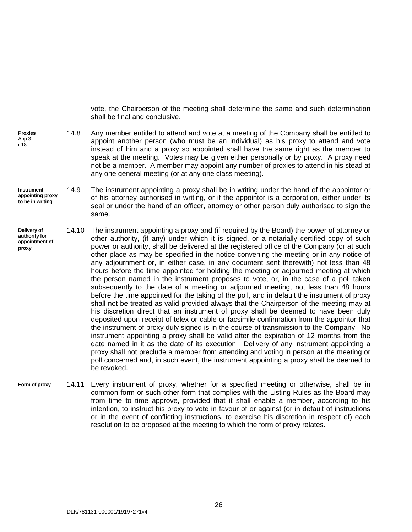<span id="page-31-1"></span>vote, the Chairperson of the meeting shall determine the same and such determination shall be final and conclusive.

- **Proxies** App 3 r.18 14.8 Any member entitled to attend and vote at a meeting of the Company shall be entitled to appoint another person (who must be an individual) as his proxy to attend and vote instead of him and a proxy so appointed shall have the same right as the member to speak at the meeting. Votes may be given either personally or by proxy. A proxy need not be a member. A member may appoint any number of proxies to attend in his stead at any one general meeting (or at any one class meeting).
- **Instrument appointing proxy to be in writing** 14.9 The instrument appointing a proxy shall be in writing under the hand of the appointor or of his attorney authorised in writing, or if the appointor is a corporation, either under its seal or under the hand of an officer, attorney or other person duly authorised to sign the same.
- <span id="page-31-0"></span>**Delivery of authority for appointment of proxy** 14.10 The instrument appointing a proxy and (if required by the Board) the power of attorney or other authority, (if any) under which it is signed, or a notarially certified copy of such power or authority, shall be delivered at the registered office of the Company (or at such other place as may be specified in the notice convening the meeting or in any notice of any adjournment or, in either case, in any document sent therewith) not less than 48 hours before the time appointed for holding the meeting or adjourned meeting at which the person named in the instrument proposes to vote, or, in the case of a poll taken subsequently to the date of a meeting or adjourned meeting, not less than 48 hours before the time appointed for the taking of the poll, and in default the instrument of proxy shall not be treated as valid provided always that the Chairperson of the meeting may at his discretion direct that an instrument of proxy shall be deemed to have been duly deposited upon receipt of telex or cable or facsimile confirmation from the appointor that the instrument of proxy duly signed is in the course of transmission to the Company. No instrument appointing a proxy shall be valid after the expiration of 12 months from the date named in it as the date of its execution. Delivery of any instrument appointing a proxy shall not preclude a member from attending and voting in person at the meeting or poll concerned and, in such event, the instrument appointing a proxy shall be deemed to be revoked.
- **Form of proxy** 14.11 Every instrument of proxy, whether for a specified meeting or otherwise, shall be in common form or such other form that complies with the Listing Rules as the Board may from time to time approve, provided that it shall enable a member, according to his intention, to instruct his proxy to vote in favour of or against (or in default of instructions or in the event of conflicting instructions, to exercise his discretion in respect of) each resolution to be proposed at the meeting to which the form of proxy relates.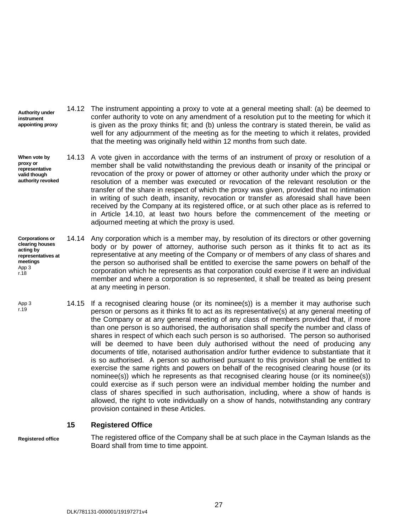- **Authority under instrument appointing proxy** 14.12 The instrument appointing a proxy to vote at a general meeting shall: (a) be deemed to confer authority to vote on any amendment of a resolution put to the meeting for which it is given as the proxy thinks fit; and (b) unless the contrary is stated therein, be valid as well for any adjournment of the meeting as for the meeting to which it relates, provided that the meeting was originally held within 12 months from such date.
- <span id="page-32-1"></span>**When vote by proxy or representative valid though authority revoked** 14.13 A vote given in accordance with the terms of an instrument of proxy or resolution of a member shall be valid notwithstanding the previous death or insanity of the principal or revocation of the proxy or power of attorney or other authority under which the proxy or resolution of a member was executed or revocation of the relevant resolution or the transfer of the share in respect of which the proxy was given, provided that no intimation in writing of such death, insanity, revocation or transfer as aforesaid shall have been received by the Company at its registered office, or at such other place as is referred to in Article [14.10,](#page-31-0) at least two hours before the commencement of the meeting or adjourned meeting at which the proxy is used.
- **Corporations or clearing houses acting by representatives at meetings** App 3 r.18 14.14 Any corporation which is a member may, by resolution of its directors or other governing body or by power of attorney, authorise such person as it thinks fit to act as its representative at any meeting of the Company or of members of any class of shares and the person so authorised shall be entitled to exercise the same powers on behalf of the corporation which he represents as that corporation could exercise if it were an individual member and where a corporation is so represented, it shall be treated as being present at any meeting in person.
- 14.15 If a recognised clearing house (or its nominee(s)) is a member it may authorise such person or persons as it thinks fit to act as its representative(s) at any general meeting of the Company or at any general meeting of any class of members provided that, if more than one person is so authorised, the authorisation shall specify the number and class of shares in respect of which each such person is so authorised. The person so authorised will be deemed to have been duly authorised without the need of producing any documents of title, notarised authorisation and/or further evidence to substantiate that it is so authorised. A person so authorised pursuant to this provision shall be entitled to exercise the same rights and powers on behalf of the recognised clearing house (or its nominee(s)) which he represents as that recognised clearing house (or its nominee(s)) could exercise as if such person were an individual member holding the number and class of shares specified in such authorisation, including, where a show of hands is allowed, the right to vote individually on a show of hands, notwithstanding any contrary provision contained in these Articles. App 3 r.19

#### <span id="page-32-0"></span>**15 Registered Office**

**Registered office**

The registered office of the Company shall be at such place in the Cayman Islands as the Board shall from time to time appoint.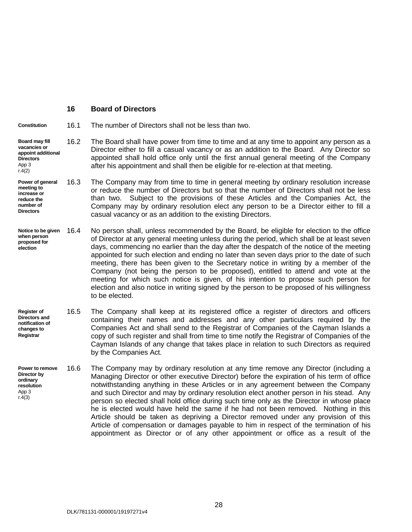#### <span id="page-33-2"></span><span id="page-33-0"></span>**16 Board of Directors**

**Constitution** 16.1 The number of Directors shall not be less than two.

- **Board may fill vacancies or appoint additional Directors** App 3  $r.4(2)$ 16.2 The Board shall have power from time to time and at any time to appoint any person as a Director either to fill a casual vacancy or as an addition to the Board. Any Director so appointed shall hold office only until the first annual general meeting of the Company after his appointment and shall then be eligible for re-election at that meeting.
- **Power of general meeting to increase or reduce the number of Directors** 16.3 The Company may from time to time in general meeting by ordinary resolution increase or reduce the number of Directors but so that the number of Directors shall not be less than two. Subject to the provisions of these Articles and the Companies Act, the Company may by ordinary resolution elect any person to be a Director either to fill a casual vacancy or as an addition to the existing Directors.
- **Notice to be given when person proposed for election** No person shall, unless recommended by the Board, be eligible for election to the office of Director at any general meeting unless during the period, which shall be at least seven days, commencing no earlier than the day after the despatch of the notice of the meeting appointed for such election and ending no later than seven days prior to the date of such meeting, there has been given to the Secretary notice in writing by a member of the Company (not being the person to be proposed), entitled to attend and vote at the meeting for which such notice is given, of his intention to propose such person for election and also notice in writing signed by the person to be proposed of his willingness to be elected.
- **Register of Directors and notification of changes to Registrar** 16.5 The Company shall keep at its registered office a register of directors and officers containing their names and addresses and any other particulars required by the Companies Act and shall send to the Registrar of Companies of the Cayman Islands a copy of such register and shall from time to time notify the Registrar of Companies of the Cayman Islands of any change that takes place in relation to such Directors as required by the Companies Act.
- <span id="page-33-1"></span>**Power to remove Director by ordinary resolution** App 3 r.4(3) 16.6 The Company may by ordinary resolution at any time remove any Director (including a Managing Director or other executive Director) before the expiration of his term of office notwithstanding anything in these Articles or in any agreement between the Company and such Director and may by ordinary resolution elect another person in his stead. Any person so elected shall hold office during such time only as the Director in whose place he is elected would have held the same if he had not been removed. Nothing in this Article should be taken as depriving a Director removed under any provision of this Article of compensation or damages payable to him in respect of the termination of his appointment as Director or of any other appointment or office as a result of the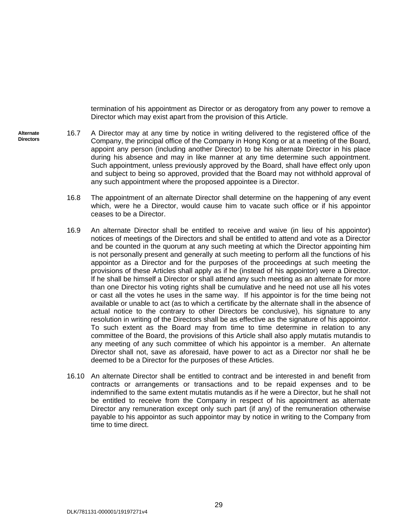<span id="page-34-0"></span>termination of his appointment as Director or as derogatory from any power to remove a Director which may exist apart from the provision of this Article.

- <span id="page-34-2"></span><span id="page-34-1"></span>**Alternate Directors** 16.7 A Director may at any time by notice in writing delivered to the registered office of the Company, the principal office of the Company in Hong Kong or at a meeting of the Board, appoint any person (including another Director) to be his alternate Director in his place during his absence and may in like manner at any time determine such appointment. Such appointment, unless previously approved by the Board, shall have effect only upon and subject to being so approved, provided that the Board may not withhold approval of any such appointment where the proposed appointee is a Director.
	- 16.8 The appointment of an alternate Director shall determine on the happening of any event which, were he a Director, would cause him to vacate such office or if his appointor ceases to be a Director.
	- 16.9 An alternate Director shall be entitled to receive and waive (in lieu of his appointor) notices of meetings of the Directors and shall be entitled to attend and vote as a Director and be counted in the quorum at any such meeting at which the Director appointing him is not personally present and generally at such meeting to perform all the functions of his appointor as a Director and for the purposes of the proceedings at such meeting the provisions of these Articles shall apply as if he (instead of his appointor) were a Director. If he shall be himself a Director or shall attend any such meeting as an alternate for more than one Director his voting rights shall be cumulative and he need not use all his votes or cast all the votes he uses in the same way. If his appointor is for the time being not available or unable to act (as to which a certificate by the alternate shall in the absence of actual notice to the contrary to other Directors be conclusive), his signature to any resolution in writing of the Directors shall be as effective as the signature of his appointor. To such extent as the Board may from time to time determine in relation to any committee of the Board, the provisions of this Article shall also apply mutatis mutandis to any meeting of any such committee of which his appointor is a member. An alternate Director shall not, save as aforesaid, have power to act as a Director nor shall he be deemed to be a Director for the purposes of these Articles.
	- 16.10 An alternate Director shall be entitled to contract and be interested in and benefit from contracts or arrangements or transactions and to be repaid expenses and to be indemnified to the same extent mutatis mutandis as if he were a Director, but he shall not be entitled to receive from the Company in respect of his appointment as alternate Director any remuneration except only such part (if any) of the remuneration otherwise payable to his appointor as such appointor may by notice in writing to the Company from time to time direct.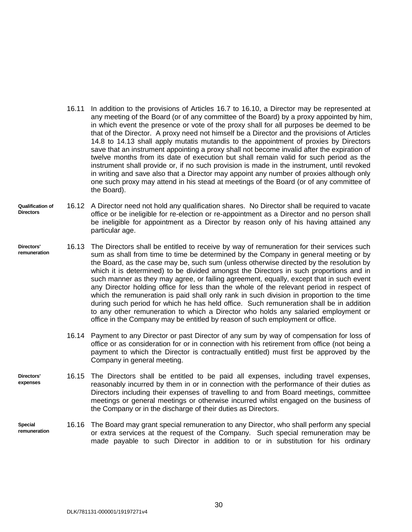- 16.11 In addition to the provisions of Articles [16.7](#page-34-0) to [16.10,](#page-34-1) a Director may be represented at any meeting of the Board (or of any committee of the Board) by a proxy appointed by him, in which event the presence or vote of the proxy shall for all purposes be deemed to be that of the Director. A proxy need not himself be a Director and the provisions of Articles [14.8](#page-31-1) to [14.13](#page-32-1) shall apply mutatis mutandis to the appointment of proxies by Directors save that an instrument appointing a proxy shall not become invalid after the expiration of twelve months from its date of execution but shall remain valid for such period as the instrument shall provide or, if no such provision is made in the instrument, until revoked in writing and save also that a Director may appoint any number of proxies although only one such proxy may attend in his stead at meetings of the Board (or of any committee of the Board).
- **Qualification of Directors** 16.12 A Director need not hold any qualification shares. No Director shall be required to vacate office or be ineligible for re-election or re-appointment as a Director and no person shall be ineligible for appointment as a Director by reason only of his having attained any particular age.
- **Directors' remuneration** 16.13 The Directors shall be entitled to receive by way of remuneration for their services such sum as shall from time to time be determined by the Company in general meeting or by the Board, as the case may be, such sum (unless otherwise directed by the resolution by which it is determined) to be divided amongst the Directors in such proportions and in such manner as they may agree, or failing agreement, equally, except that in such event any Director holding office for less than the whole of the relevant period in respect of which the remuneration is paid shall only rank in such division in proportion to the time during such period for which he has held office. Such remuneration shall be in addition to any other remuneration to which a Director who holds any salaried employment or office in the Company may be entitled by reason of such employment or office.
	- 16.14 Payment to any Director or past Director of any sum by way of compensation for loss of office or as consideration for or in connection with his retirement from office (not being a payment to which the Director is contractually entitled) must first be approved by the Company in general meeting.
- **Directors' expenses** 16.15 The Directors shall be entitled to be paid all expenses, including travel expenses, reasonably incurred by them in or in connection with the performance of their duties as Directors including their expenses of travelling to and from Board meetings, committee meetings or general meetings or otherwise incurred whilst engaged on the business of the Company or in the discharge of their duties as Directors.
- **Special remuneration** 16.16 The Board may grant special remuneration to any Director, who shall perform any special or extra services at the request of the Company. Such special remuneration may be made payable to such Director in addition to or in substitution for his ordinary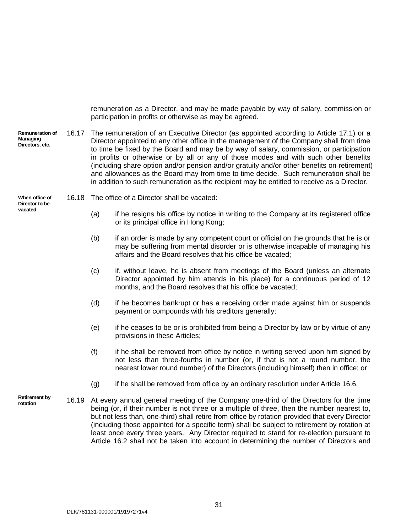<span id="page-36-0"></span>remuneration as a Director, and may be made payable by way of salary, commission or participation in profits or otherwise as may be agreed.

**Remuneration of Managing Directors, etc.** 16.17 The remuneration of an Executive Director (as appointed according to Article [17.1\)](#page-39-1) or a Director appointed to any other office in the management of the Company shall from time to time be fixed by the Board and may be by way of salary, commission, or participation in profits or otherwise or by all or any of those modes and with such other benefits (including share option and/or pension and/or gratuity and/or other benefits on retirement) and allowances as the Board may from time to time decide. Such remuneration shall be in addition to such remuneration as the recipient may be entitled to receive as a Director.

#### **When office of Director to be vacated**

16.18 The office of a Director shall be vacated:

- (a) if he resigns his office by notice in writing to the Company at its registered office or its principal office in Hong Kong;
- (b) if an order is made by any competent court or official on the grounds that he is or may be suffering from mental disorder or is otherwise incapable of managing his affairs and the Board resolves that his office be vacated;
- (c) if, without leave, he is absent from meetings of the Board (unless an alternate Director appointed by him attends in his place) for a continuous period of 12 months, and the Board resolves that his office be vacated;
- (d) if he becomes bankrupt or has a receiving order made against him or suspends payment or compounds with his creditors generally;
- (e) if he ceases to be or is prohibited from being a Director by law or by virtue of any provisions in these Articles;
- (f) if he shall be removed from office by notice in writing served upon him signed by not less than three-fourths in number (or, if that is not a round number, the nearest lower round number) of the Directors (including himself) then in office; or
- (g) if he shall be removed from office by an ordinary resolution under Article [16.6.](#page-33-1)
- **Retirement by rotation** 16.19 At every annual general meeting of the Company one-third of the Directors for the time being (or, if their number is not three or a multiple of three, then the number nearest to, but not less than, one-third) shall retire from office by rotation provided that every Director (including those appointed for a specific term) shall be subject to retirement by rotation at least once every three years. Any Director required to stand for re-election pursuant to Article [16.2](#page-33-2) shall not be taken into account in determining the number of Directors and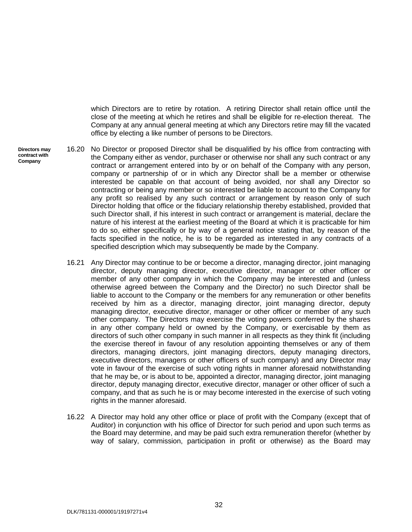which Directors are to retire by rotation. A retiring Director shall retain office until the close of the meeting at which he retires and shall be eligible for re-election thereat. The Company at any annual general meeting at which any Directors retire may fill the vacated office by electing a like number of persons to be Directors.

**Directors may contract with Company**

- <span id="page-37-0"></span>16.20 No Director or proposed Director shall be disqualified by his office from contracting with the Company either as vendor, purchaser or otherwise nor shall any such contract or any contract or arrangement entered into by or on behalf of the Company with any person, company or partnership of or in which any Director shall be a member or otherwise interested be capable on that account of being avoided, nor shall any Director so contracting or being any member or so interested be liable to account to the Company for any profit so realised by any such contract or arrangement by reason only of such Director holding that office or the fiduciary relationship thereby established, provided that such Director shall, if his interest in such contract or arrangement is material, declare the nature of his interest at the earliest meeting of the Board at which it is practicable for him to do so, either specifically or by way of a general notice stating that, by reason of the facts specified in the notice, he is to be regarded as interested in any contracts of a specified description which may subsequently be made by the Company.
- 16.21 Any Director may continue to be or become a director, managing director, joint managing director, deputy managing director, executive director, manager or other officer or member of any other company in which the Company may be interested and (unless otherwise agreed between the Company and the Director) no such Director shall be liable to account to the Company or the members for any remuneration or other benefits received by him as a director, managing director, joint managing director, deputy managing director, executive director, manager or other officer or member of any such other company. The Directors may exercise the voting powers conferred by the shares in any other company held or owned by the Company, or exercisable by them as directors of such other company in such manner in all respects as they think fit (including the exercise thereof in favour of any resolution appointing themselves or any of them directors, managing directors, joint managing directors, deputy managing directors, executive directors, managers or other officers of such company) and any Director may vote in favour of the exercise of such voting rights in manner aforesaid notwithstanding that he may be, or is about to be, appointed a director, managing director, joint managing director, deputy managing director, executive director, manager or other officer of such a company, and that as such he is or may become interested in the exercise of such voting rights in the manner aforesaid.
- 16.22 A Director may hold any other office or place of profit with the Company (except that of Auditor) in conjunction with his office of Director for such period and upon such terms as the Board may determine, and may be paid such extra remuneration therefor (whether by way of salary, commission, participation in profit or otherwise) as the Board may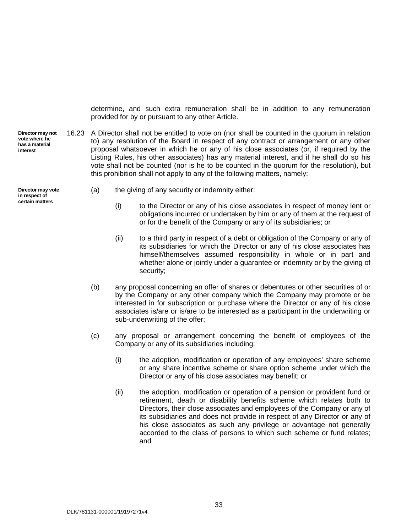<span id="page-38-0"></span>determine, and such extra remuneration shall be in addition to any remuneration provided for by or pursuant to any other Article.

**Director may not vote where he has a material interest** 16.23 A Director shall not be entitled to vote on (nor shall be counted in the quorum in relation to) any resolution of the Board in respect of any contract or arrangement or any other proposal whatsoever in which he or any of his close associates (or, if required by the Listing Rules, his other associates) has any material interest, and if he shall do so his vote shall not be counted (nor is he to be counted in the quorum for the resolution), but this prohibition shall not apply to any of the following matters, namely:

**Director may vote in respect of certain matters**

- (a) the giving of any security or indemnity either:
	- (i) to the Director or any of his close associates in respect of money lent or obligations incurred or undertaken by him or any of them at the request of or for the benefit of the Company or any of its subsidiaries; or
	- (ii) to a third party in respect of a debt or obligation of the Company or any of its subsidiaries for which the Director or any of his close associates has himself/themselves assumed responsibility in whole or in part and whether alone or jointly under a guarantee or indemnity or by the giving of security;
- (b) any proposal concerning an offer of shares or debentures or other securities of or by the Company or any other company which the Company may promote or be interested in for subscription or purchase where the Director or any of his close associates is/are or is/are to be interested as a participant in the underwriting or sub-underwriting of the offer;
- (c) any proposal or arrangement concerning the benefit of employees of the Company or any of its subsidiaries including:
	- (i) the adoption, modification or operation of any employees' share scheme or any share incentive scheme or share option scheme under which the Director or any of his close associates may benefit; or
	- (ii) the adoption, modification or operation of a pension or provident fund or retirement, death or disability benefits scheme which relates both to Directors, their close associates and employees of the Company or any of its subsidiaries and does not provide in respect of any Director or any of his close associates as such any privilege or advantage not generally accorded to the class of persons to which such scheme or fund relates; and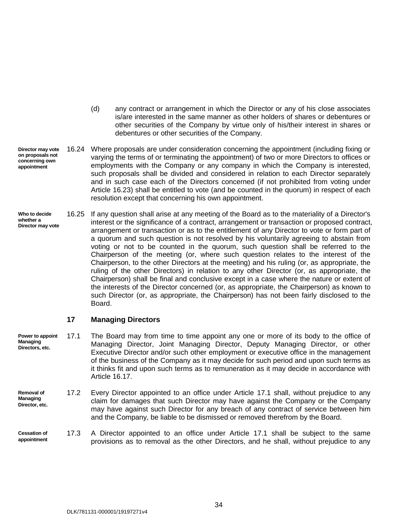- (d) any contract or arrangement in which the Director or any of his close associates is/are interested in the same manner as other holders of shares or debentures or other securities of the Company by virtue only of his/their interest in shares or debentures or other securities of the Company.
- **Director may vote on proposals not concerning own appointment** 16.24 Where proposals are under consideration concerning the appointment (including fixing or varying the terms of or terminating the appointment) of two or more Directors to offices or employments with the Company or any company in which the Company is interested, such proposals shall be divided and considered in relation to each Director separately and in such case each of the Directors concerned (if not prohibited from voting under Article [16.23\)](#page-38-0) shall be entitled to vote (and be counted in the quorum) in respect of each resolution except that concerning his own appointment.
- <span id="page-39-2"></span>**Who to decide whether a Director may vote** 16.25 If any question shall arise at any meeting of the Board as to the materiality of a Director's interest or the significance of a contract, arrangement or transaction or proposed contract, arrangement or transaction or as to the entitlement of any Director to vote or form part of a quorum and such question is not resolved by his voluntarily agreeing to abstain from voting or not to be counted in the quorum, such question shall be referred to the Chairperson of the meeting (or, where such question relates to the interest of the Chairperson, to the other Directors at the meeting) and his ruling (or, as appropriate, the ruling of the other Directors) in relation to any other Director (or, as appropriate, the Chairperson) shall be final and conclusive except in a case where the nature or extent of the interests of the Director concerned (or, as appropriate, the Chairperson) as known to such Director (or, as appropriate, the Chairperson) has not been fairly disclosed to the Board.

#### <span id="page-39-1"></span><span id="page-39-0"></span>**17 Managing Directors**

- **Power to appoint Managing Directors, etc.** 17.1 The Board may from time to time appoint any one or more of its body to the office of Managing Director, Joint Managing Director, Deputy Managing Director, or other Executive Director and/or such other employment or executive office in the management of the business of the Company as it may decide for such period and upon such terms as it thinks fit and upon such terms as to remuneration as it may decide in accordance with Article [16.17.](#page-36-0)
- **Removal of Managing Director, etc.** 17.2 Every Director appointed to an office under Article [17.1](#page-39-1) shall, without prejudice to any claim for damages that such Director may have against the Company or the Company may have against such Director for any breach of any contract of service between him and the Company, be liable to be dismissed or removed therefrom by the Board.
- **Cessation of appointment**  17.3 A Director appointed to an office under Article [17.1](#page-39-1) shall be subject to the same provisions as to removal as the other Directors, and he shall, without prejudice to any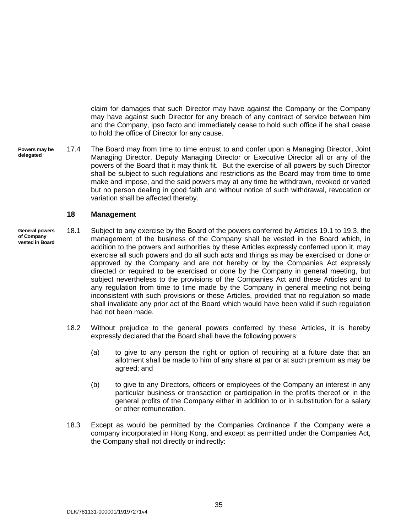claim for damages that such Director may have against the Company or the Company may have against such Director for any breach of any contract of service between him and the Company, ipso facto and immediately cease to hold such office if he shall cease to hold the office of Director for any cause.

**Powers may be delegated** 17.4 The Board may from time to time entrust to and confer upon a Managing Director, Joint Managing Director, Deputy Managing Director or Executive Director all or any of the powers of the Board that it may think fit. But the exercise of all powers by such Director shall be subject to such regulations and restrictions as the Board may from time to time make and impose, and the said powers may at any time be withdrawn, revoked or varied but no person dealing in good faith and without notice of such withdrawal, revocation or variation shall be affected thereby.

#### <span id="page-40-0"></span>**18 Management**

- **General powers of Company vested in Board** 18.1 Subject to any exercise by the Board of the powers conferred by Articles [19.1](#page-41-2) to [19.3,](#page-41-3) the management of the business of the Company shall be vested in the Board which, in addition to the powers and authorities by these Articles expressly conferred upon it, may exercise all such powers and do all such acts and things as may be exercised or done or approved by the Company and are not hereby or by the Companies Act expressly directed or required to be exercised or done by the Company in general meeting, but subject nevertheless to the provisions of the Companies Act and these Articles and to any regulation from time to time made by the Company in general meeting not being inconsistent with such provisions or these Articles, provided that no regulation so made shall invalidate any prior act of the Board which would have been valid if such regulation had not been made.
	- 18.2 Without prejudice to the general powers conferred by these Articles, it is hereby expressly declared that the Board shall have the following powers:
		- (a) to give to any person the right or option of requiring at a future date that an allotment shall be made to him of any share at par or at such premium as may be agreed; and
		- (b) to give to any Directors, officers or employees of the Company an interest in any particular business or transaction or participation in the profits thereof or in the general profits of the Company either in addition to or in substitution for a salary or other remuneration.
	- 18.3 Except as would be permitted by the Companies Ordinance if the Company were a company incorporated in Hong Kong, and except as permitted under the Companies Act, the Company shall not directly or indirectly: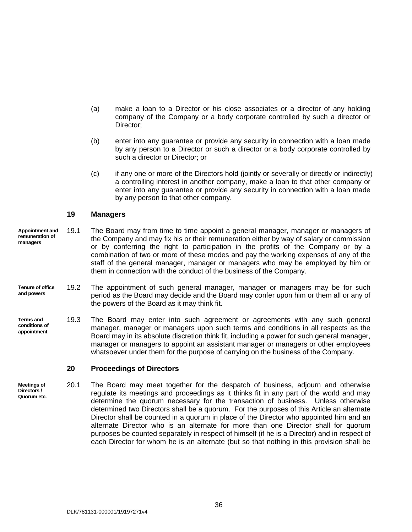- (a) make a loan to a Director or his close associates or a director of any holding company of the Company or a body corporate controlled by such a director or Director;
- (b) enter into any guarantee or provide any security in connection with a loan made by any person to a Director or such a director or a body corporate controlled by such a director or Director; or
- (c) if any one or more of the Directors hold (jointly or severally or directly or indirectly) a controlling interest in another company, make a loan to that other company or enter into any guarantee or provide any security in connection with a loan made by any person to that other company.

#### <span id="page-41-2"></span><span id="page-41-0"></span>**19 Managers**

- **Appointment and remuneration of managers** 19.1 The Board may from time to time appoint a general manager, manager or managers of the Company and may fix his or their remuneration either by way of salary or commission or by conferring the right to participation in the profits of the Company or by a combination of two or more of these modes and pay the working expenses of any of the staff of the general manager, manager or managers who may be employed by him or them in connection with the conduct of the business of the Company.
- **Tenure of office and powers** 19.2 The appointment of such general manager, manager or managers may be for such period as the Board may decide and the Board may confer upon him or them all or any of the powers of the Board as it may think fit.
- **Terms and conditions of appointment** 19.3 The Board may enter into such agreement or agreements with any such general manager, manager or managers upon such terms and conditions in all respects as the Board may in its absolute discretion think fit, including a power for such general manager, manager or managers to appoint an assistant manager or managers or other employees whatsoever under them for the purpose of carrying on the business of the Company.

#### <span id="page-41-3"></span><span id="page-41-1"></span>**20 Proceedings of Directors**

**Meetings of Directors / Quorum etc.** 20.1 The Board may meet together for the despatch of business, adjourn and otherwise regulate its meetings and proceedings as it thinks fit in any part of the world and may determine the quorum necessary for the transaction of business. Unless otherwise determined two Directors shall be a quorum. For the purposes of this Article an alternate Director shall be counted in a quorum in place of the Director who appointed him and an alternate Director who is an alternate for more than one Director shall for quorum purposes be counted separately in respect of himself (if he is a Director) and in respect of each Director for whom he is an alternate (but so that nothing in this provision shall be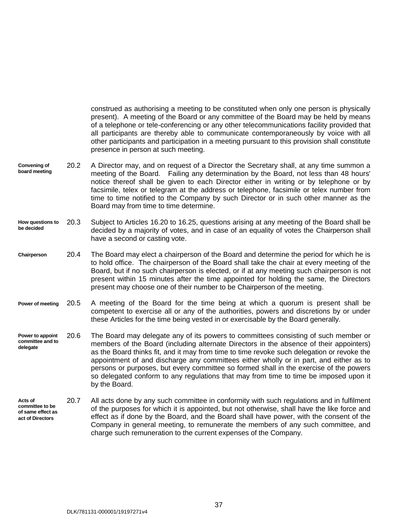construed as authorising a meeting to be constituted when only one person is physically present). A meeting of the Board or any committee of the Board may be held by means of a telephone or tele-conferencing or any other telecommunications facility provided that all participants are thereby able to communicate contemporaneously by voice with all other participants and participation in a meeting pursuant to this provision shall constitute presence in person at such meeting.

- **Convening of board meeting** 20.2 A Director may, and on request of a Director the Secretary shall, at any time summon a meeting of the Board. Failing any determination by the Board, not less than 48 hours' notice thereof shall be given to each Director either in writing or by telephone or by facsimile, telex or telegram at the address or telephone, facsimile or telex number from time to time notified to the Company by such Director or in such other manner as the Board may from time to time determine.
- **How questions to be decided**  20.3 Subject to Articles [16.20](#page-37-0) to [16.25,](#page-39-2) questions arising at any meeting of the Board shall be decided by a majority of votes, and in case of an equality of votes the Chairperson shall have a second or casting vote.
- **Chairperson** 20.4 The Board may elect a chairperson of the Board and determine the period for which he is to hold office. The chairperson of the Board shall take the chair at every meeting of the Board, but if no such chairperson is elected, or if at any meeting such chairperson is not present within 15 minutes after the time appointed for holding the same, the Directors present may choose one of their number to be Chairperson of the meeting.
- **Power of meeting** 20.5 A meeting of the Board for the time being at which a quorum is present shall be competent to exercise all or any of the authorities, powers and discretions by or under these Articles for the time being vested in or exercisable by the Board generally.
- <span id="page-42-0"></span>**Power to appoint committee and to delegate** 20.6 The Board may delegate any of its powers to committees consisting of such member or members of the Board (including alternate Directors in the absence of their appointers) as the Board thinks fit, and it may from time to time revoke such delegation or revoke the appointment of and discharge any committees either wholly or in part, and either as to persons or purposes, but every committee so formed shall in the exercise of the powers so delegated conform to any regulations that may from time to time be imposed upon it by the Board.
- **Acts of committee to be of same effect as act of Directors** 20.7 All acts done by any such committee in conformity with such regulations and in fulfilment of the purposes for which it is appointed, but not otherwise, shall have the like force and effect as if done by the Board, and the Board shall have power, with the consent of the Company in general meeting, to remunerate the members of any such committee, and charge such remuneration to the current expenses of the Company.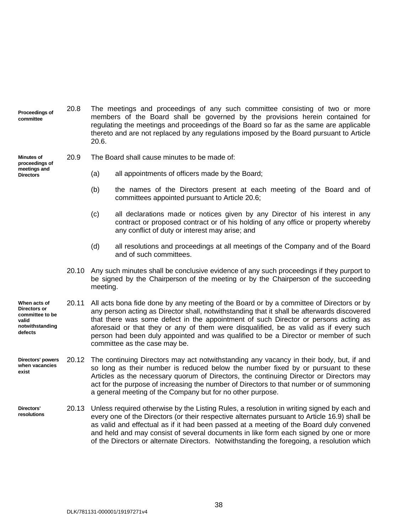|  | Proceedings of<br>committee                                                            | 20.8  | The meetings and proceedings of any such committee consisting of two or more<br>members of the Board shall be governed by the provisions herein contained for<br>regulating the meetings and proceedings of the Board so far as the same are applicable<br>thereto and are not replaced by any regulations imposed by the Board pursuant to Article<br>20.6.                                                                                                                                    |  |
|--|----------------------------------------------------------------------------------------|-------|-------------------------------------------------------------------------------------------------------------------------------------------------------------------------------------------------------------------------------------------------------------------------------------------------------------------------------------------------------------------------------------------------------------------------------------------------------------------------------------------------|--|
|  | <b>Minutes of</b><br>proceedings of<br>meetings and<br><b>Directors</b>                | 20.9  | The Board shall cause minutes to be made of:                                                                                                                                                                                                                                                                                                                                                                                                                                                    |  |
|  |                                                                                        |       | (a)<br>all appointments of officers made by the Board;                                                                                                                                                                                                                                                                                                                                                                                                                                          |  |
|  |                                                                                        |       | the names of the Directors present at each meeting of the Board and of<br>(b)<br>committees appointed pursuant to Article 20.6;                                                                                                                                                                                                                                                                                                                                                                 |  |
|  |                                                                                        |       | (c)<br>all declarations made or notices given by any Director of his interest in any<br>contract or proposed contract or of his holding of any office or property whereby<br>any conflict of duty or interest may arise; and                                                                                                                                                                                                                                                                    |  |
|  |                                                                                        |       | (d)<br>all resolutions and proceedings at all meetings of the Company and of the Board<br>and of such committees.                                                                                                                                                                                                                                                                                                                                                                               |  |
|  |                                                                                        | 20.10 | Any such minutes shall be conclusive evidence of any such proceedings if they purport to<br>be signed by the Chairperson of the meeting or by the Chairperson of the succeeding<br>meeting.                                                                                                                                                                                                                                                                                                     |  |
|  | When acts of<br>Directors or<br>committee to be<br>valid<br>notwithstanding<br>defects | 20.11 | All acts bona fide done by any meeting of the Board or by a committee of Directors or by<br>any person acting as Director shall, notwithstanding that it shall be afterwards discovered<br>that there was some defect in the appointment of such Director or persons acting as<br>aforesaid or that they or any of them were disqualified, be as valid as if every such<br>person had been duly appointed and was qualified to be a Director or member of such<br>committee as the case may be. |  |
|  | Directors' powers<br>when vacancies<br>exist                                           | 20.12 | The continuing Directors may act notwithstanding any vacancy in their body, but, if and<br>so long as their number is reduced below the number fixed by or pursuant to these<br>Articles as the necessary quorum of Directors, the continuing Director or Directors may<br>act for the purpose of increasing the number of Directors to that number or of summoning<br>a general meeting of the Company but for no other purpose.                                                               |  |
|  | Directors'<br>resolutions                                                              | 20.13 | Unless required otherwise by the Listing Rules, a resolution in writing signed by each and<br>every one of the Directors (or their respective alternates pursuant to Article 16.9) shall be<br>as valid and effectual as if it had been passed at a meeting of the Board duly convened<br>and held and may consist of several documents in like form each signed by one or more                                                                                                                 |  |

of the Directors or alternate Directors. Notwithstanding the foregoing, a resolution which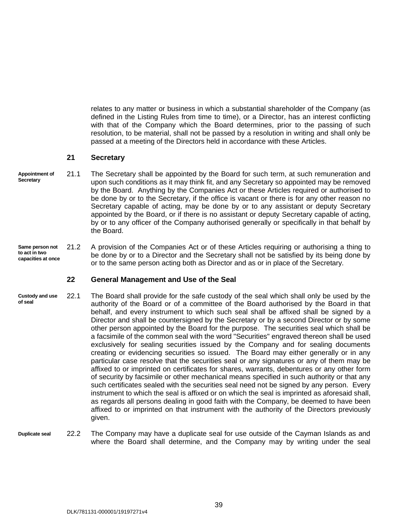relates to any matter or business in which a substantial shareholder of the Company (as defined in the Listing Rules from time to time), or a Director, has an interest conflicting with that of the Company which the Board determines, prior to the passing of such resolution, to be material, shall not be passed by a resolution in writing and shall only be passed at a meeting of the Directors held in accordance with these Articles.

#### <span id="page-44-0"></span>**21 Secretary**

- **Appointment of Secretary** 21.1 The Secretary shall be appointed by the Board for such term, at such remuneration and upon such conditions as it may think fit, and any Secretary so appointed may be removed by the Board. Anything by the Companies Act or these Articles required or authorised to be done by or to the Secretary, if the office is vacant or there is for any other reason no Secretary capable of acting, may be done by or to any assistant or deputy Secretary appointed by the Board, or if there is no assistant or deputy Secretary capable of acting, by or to any officer of the Company authorised generally or specifically in that behalf by the Board.
- **Same person not to act in two capacities at once** 21.2 A provision of the Companies Act or of these Articles requiring or authorising a thing to be done by or to a Director and the Secretary shall not be satisfied by its being done by or to the same person acting both as Director and as or in place of the Secretary.

#### <span id="page-44-1"></span>**22 General Management and Use of the Seal**

- **Custody and use of seal** 22.1 The Board shall provide for the safe custody of the seal which shall only be used by the authority of the Board or of a committee of the Board authorised by the Board in that behalf, and every instrument to which such seal shall be affixed shall be signed by a Director and shall be countersigned by the Secretary or by a second Director or by some other person appointed by the Board for the purpose. The securities seal which shall be a facsimile of the common seal with the word "Securities" engraved thereon shall be used exclusively for sealing securities issued by the Company and for sealing documents creating or evidencing securities so issued. The Board may either generally or in any particular case resolve that the securities seal or any signatures or any of them may be affixed to or imprinted on certificates for shares, warrants, debentures or any other form of security by facsimile or other mechanical means specified in such authority or that any such certificates sealed with the securities seal need not be signed by any person. Every instrument to which the seal is affixed or on which the seal is imprinted as aforesaid shall, as regards all persons dealing in good faith with the Company, be deemed to have been affixed to or imprinted on that instrument with the authority of the Directors previously given.
- <span id="page-44-2"></span>**Duplicate seal** 22.2 The Company may have a duplicate seal for use outside of the Cayman Islands as and where the Board shall determine, and the Company may by writing under the seal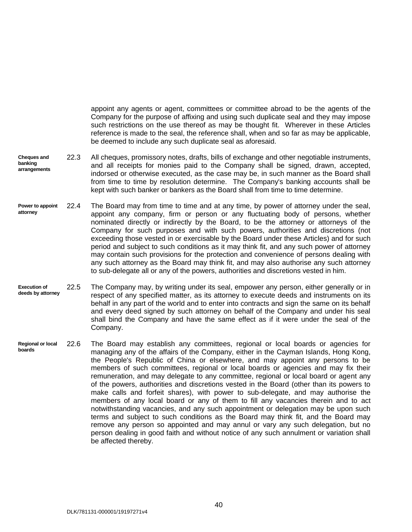appoint any agents or agent, committees or committee abroad to be the agents of the Company for the purpose of affixing and using such duplicate seal and they may impose such restrictions on the use thereof as may be thought fit. Wherever in these Articles reference is made to the seal, the reference shall, when and so far as may be applicable, be deemed to include any such duplicate seal as aforesaid.

- **Cheques and banking arrangements** 22.3 All cheques, promissory notes, drafts, bills of exchange and other negotiable instruments, and all receipts for monies paid to the Company shall be signed, drawn, accepted, indorsed or otherwise executed, as the case may be, in such manner as the Board shall from time to time by resolution determine. The Company's banking accounts shall be kept with such banker or bankers as the Board shall from time to time determine.
- **Power to appoint attorney** 22.4 The Board may from time to time and at any time, by power of attorney under the seal, appoint any company, firm or person or any fluctuating body of persons, whether nominated directly or indirectly by the Board, to be the attorney or attorneys of the Company for such purposes and with such powers, authorities and discretions (not exceeding those vested in or exercisable by the Board under these Articles) and for such period and subject to such conditions as it may think fit, and any such power of attorney may contain such provisions for the protection and convenience of persons dealing with any such attorney as the Board may think fit, and may also authorise any such attorney to sub-delegate all or any of the powers, authorities and discretions vested in him.
- **Execution of deeds by attorney** 22.5 The Company may, by writing under its seal, empower any person, either generally or in respect of any specified matter, as its attorney to execute deeds and instruments on its behalf in any part of the world and to enter into contracts and sign the same on its behalf and every deed signed by such attorney on behalf of the Company and under his seal shall bind the Company and have the same effect as if it were under the seal of the Company.
- **Regional or local boards** 22.6 The Board may establish any committees, regional or local boards or agencies for managing any of the affairs of the Company, either in the Cayman Islands, Hong Kong, the People's Republic of China or elsewhere, and may appoint any persons to be members of such committees, regional or local boards or agencies and may fix their remuneration, and may delegate to any committee, regional or local board or agent any of the powers, authorities and discretions vested in the Board (other than its powers to make calls and forfeit shares), with power to sub-delegate, and may authorise the members of any local board or any of them to fill any vacancies therein and to act notwithstanding vacancies, and any such appointment or delegation may be upon such terms and subject to such conditions as the Board may think fit, and the Board may remove any person so appointed and may annul or vary any such delegation, but no person dealing in good faith and without notice of any such annulment or variation shall be affected thereby.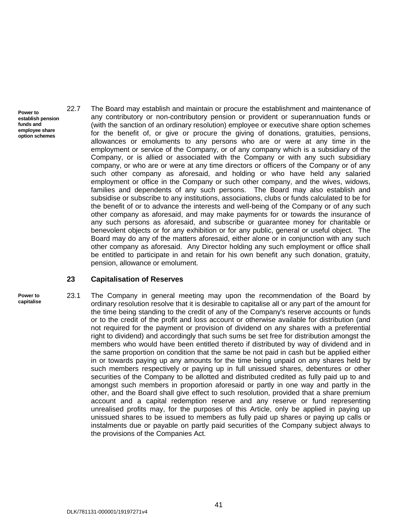- **Power to establish pension funds and employee share option schemes**
- 22.7 The Board may establish and maintain or procure the establishment and maintenance of any contributory or non-contributory pension or provident or superannuation funds or (with the sanction of an ordinary resolution) employee or executive share option schemes for the benefit of, or give or procure the giving of donations, gratuities, pensions, allowances or emoluments to any persons who are or were at any time in the employment or service of the Company, or of any company which is a subsidiary of the Company, or is allied or associated with the Company or with any such subsidiary company, or who are or were at any time directors or officers of the Company or of any such other company as aforesaid, and holding or who have held any salaried employment or office in the Company or such other company, and the wives, widows, families and dependents of any such persons. The Board may also establish and subsidise or subscribe to any institutions, associations, clubs or funds calculated to be for the benefit of or to advance the interests and well-being of the Company or of any such other company as aforesaid, and may make payments for or towards the insurance of any such persons as aforesaid, and subscribe or guarantee money for charitable or benevolent objects or for any exhibition or for any public, general or useful object. The Board may do any of the matters aforesaid, either alone or in conjunction with any such other company as aforesaid. Any Director holding any such employment or office shall be entitled to participate in and retain for his own benefit any such donation, gratuity, pension, allowance or emolument.

#### <span id="page-46-0"></span>**23 Capitalisation of Reserves**

- **Power to**
- **capitalise**

<span id="page-46-1"></span>23.1 The Company in general meeting may upon the recommendation of the Board by ordinary resolution resolve that it is desirable to capitalise all or any part of the amount for the time being standing to the credit of any of the Company's reserve accounts or funds or to the credit of the profit and loss account or otherwise available for distribution (and not required for the payment or provision of dividend on any shares with a preferential right to dividend) and accordingly that such sums be set free for distribution amongst the members who would have been entitled thereto if distributed by way of dividend and in the same proportion on condition that the same be not paid in cash but be applied either in or towards paying up any amounts for the time being unpaid on any shares held by such members respectively or paying up in full unissued shares, debentures or other securities of the Company to be allotted and distributed credited as fully paid up to and amongst such members in proportion aforesaid or partly in one way and partly in the other, and the Board shall give effect to such resolution, provided that a share premium account and a capital redemption reserve and any reserve or fund representing unrealised profits may, for the purposes of this Article, only be applied in paying up unissued shares to be issued to members as fully paid up shares or paying up calls or instalments due or payable on partly paid securities of the Company subject always to the provisions of the Companies Act.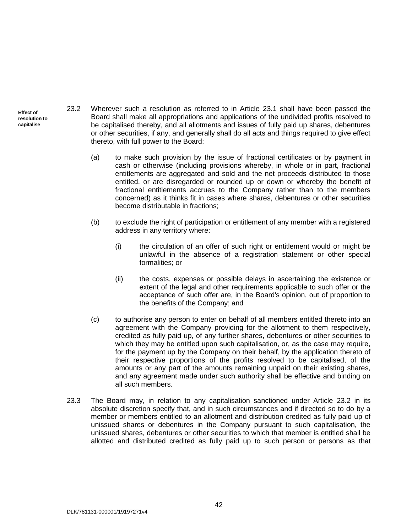- <span id="page-47-0"></span>23.2 Wherever such a resolution as referred to in Article [23.1](#page-46-1) shall have been passed the Board shall make all appropriations and applications of the undivided profits resolved to be capitalised thereby, and all allotments and issues of fully paid up shares, debentures or other securities, if any, and generally shall do all acts and things required to give effect thereto, with full power to the Board:
	- (a) to make such provision by the issue of fractional certificates or by payment in cash or otherwise (including provisions whereby, in whole or in part, fractional entitlements are aggregated and sold and the net proceeds distributed to those entitled, or are disregarded or rounded up or down or whereby the benefit of fractional entitlements accrues to the Company rather than to the members concerned) as it thinks fit in cases where shares, debentures or other securities become distributable in fractions;
	- (b) to exclude the right of participation or entitlement of any member with a registered address in any territory where:
		- (i) the circulation of an offer of such right or entitlement would or might be unlawful in the absence of a registration statement or other special formalities; or
		- (ii) the costs, expenses or possible delays in ascertaining the existence or extent of the legal and other requirements applicable to such offer or the acceptance of such offer are, in the Board's opinion, out of proportion to the benefits of the Company; and
	- (c) to authorise any person to enter on behalf of all members entitled thereto into an agreement with the Company providing for the allotment to them respectively, credited as fully paid up, of any further shares, debentures or other securities to which they may be entitled upon such capitalisation, or, as the case may require, for the payment up by the Company on their behalf, by the application thereto of their respective proportions of the profits resolved to be capitalised, of the amounts or any part of the amounts remaining unpaid on their existing shares, and any agreement made under such authority shall be effective and binding on all such members.
- 23.3 The Board may, in relation to any capitalisation sanctioned under Article [23.2](#page-47-0) in its absolute discretion specify that, and in such circumstances and if directed so to do by a member or members entitled to an allotment and distribution credited as fully paid up of unissued shares or debentures in the Company pursuant to such capitalisation, the unissued shares, debentures or other securities to which that member is entitled shall be allotted and distributed credited as fully paid up to such person or persons as that

**Effect of resolution to capitalise**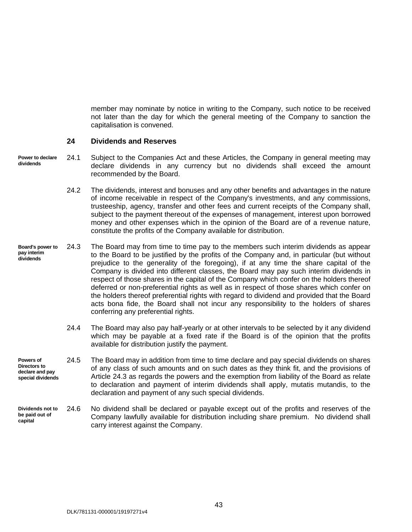member may nominate by notice in writing to the Company, such notice to be received not later than the day for which the general meeting of the Company to sanction the capitalisation is convened.

#### <span id="page-48-0"></span>**24 Dividends and Reserves**

**Power to declare dividends**

24.1 Subject to the Companies Act and these Articles, the Company in general meeting may declare dividends in any currency but no dividends shall exceed the amount recommended by the Board.

- <span id="page-48-1"></span>24.2 The dividends, interest and bonuses and any other benefits and advantages in the nature of income receivable in respect of the Company's investments, and any commissions, trusteeship, agency, transfer and other fees and current receipts of the Company shall, subject to the payment thereout of the expenses of management, interest upon borrowed money and other expenses which in the opinion of the Board are of a revenue nature, constitute the profits of the Company available for distribution.
- **Board's power to pay interim dividends** 24.3 The Board may from time to time pay to the members such interim dividends as appear to the Board to be justified by the profits of the Company and, in particular (but without prejudice to the generality of the foregoing), if at any time the share capital of the Company is divided into different classes, the Board may pay such interim dividends in respect of those shares in the capital of the Company which confer on the holders thereof deferred or non-preferential rights as well as in respect of those shares which confer on the holders thereof preferential rights with regard to dividend and provided that the Board acts bona fide, the Board shall not incur any responsibility to the holders of shares conferring any preferential rights.
	- 24.4 The Board may also pay half-yearly or at other intervals to be selected by it any dividend which may be payable at a fixed rate if the Board is of the opinion that the profits available for distribution justify the payment.

**Powers of Directors to declare and pay special dividends** 24.5 The Board may in addition from time to time declare and pay special dividends on shares of any class of such amounts and on such dates as they think fit, and the provisions of Article [24.3](#page-48-1) as regards the powers and the exemption from liability of the Board as relate to declaration and payment of interim dividends shall apply, mutatis mutandis, to the declaration and payment of any such special dividends.

**Dividends not to be paid out of capital** 24.6 No dividend shall be declared or payable except out of the profits and reserves of the Company lawfully available for distribution including share premium. No dividend shall carry interest against the Company.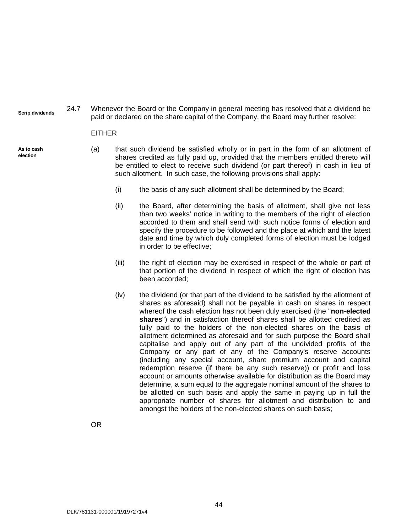**Scrip dividends** 24.7 Whenever the Board or the Company in general meeting has resolved that a dividend be paid or declared on the share capital of the Company, the Board may further resolve:

#### <span id="page-49-0"></span>EITHER

**As to cash election**

- <span id="page-49-1"></span>(a) that such dividend be satisfied wholly or in part in the form of an allotment of shares credited as fully paid up, provided that the members entitled thereto will be entitled to elect to receive such dividend (or part thereof) in cash in lieu of such allotment. In such case, the following provisions shall apply:
	- (i) the basis of any such allotment shall be determined by the Board;
	- (ii) the Board, after determining the basis of allotment, shall give not less than two weeks' notice in writing to the members of the right of election accorded to them and shall send with such notice forms of election and specify the procedure to be followed and the place at which and the latest date and time by which duly completed forms of election must be lodged in order to be effective;
	- (iii) the right of election may be exercised in respect of the whole or part of that portion of the dividend in respect of which the right of election has been accorded;
	- (iv) the dividend (or that part of the dividend to be satisfied by the allotment of shares as aforesaid) shall not be payable in cash on shares in respect whereof the cash election has not been duly exercised (the "**non-elected shares**") and in satisfaction thereof shares shall be allotted credited as fully paid to the holders of the non-elected shares on the basis of allotment determined as aforesaid and for such purpose the Board shall capitalise and apply out of any part of the undivided profits of the Company or any part of any of the Company's reserve accounts (including any special account, share premium account and capital redemption reserve (if there be any such reserve)) or profit and loss account or amounts otherwise available for distribution as the Board may determine, a sum equal to the aggregate nominal amount of the shares to be allotted on such basis and apply the same in paying up in full the appropriate number of shares for allotment and distribution to and amongst the holders of the non-elected shares on such basis;

OR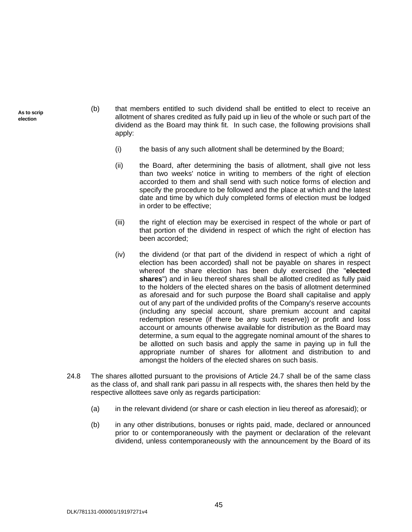**As to scrip election**

- <span id="page-50-0"></span>(b) that members entitled to such dividend shall be entitled to elect to receive an allotment of shares credited as fully paid up in lieu of the whole or such part of the dividend as the Board may think fit. In such case, the following provisions shall apply:
	- (i) the basis of any such allotment shall be determined by the Board;
	- (ii) the Board, after determining the basis of allotment, shall give not less than two weeks' notice in writing to members of the right of election accorded to them and shall send with such notice forms of election and specify the procedure to be followed and the place at which and the latest date and time by which duly completed forms of election must be lodged in order to be effective;
	- (iii) the right of election may be exercised in respect of the whole or part of that portion of the dividend in respect of which the right of election has been accorded;
	- (iv) the dividend (or that part of the dividend in respect of which a right of election has been accorded) shall not be payable on shares in respect whereof the share election has been duly exercised (the "**elected shares**") and in lieu thereof shares shall be allotted credited as fully paid to the holders of the elected shares on the basis of allotment determined as aforesaid and for such purpose the Board shall capitalise and apply out of any part of the undivided profits of the Company's reserve accounts (including any special account, share premium account and capital redemption reserve (if there be any such reserve)) or profit and loss account or amounts otherwise available for distribution as the Board may determine, a sum equal to the aggregate nominal amount of the shares to be allotted on such basis and apply the same in paying up in full the appropriate number of shares for allotment and distribution to and amongst the holders of the elected shares on such basis.
- <span id="page-50-1"></span>24.8 The shares allotted pursuant to the provisions of Article [24.7](#page-49-0) shall be of the same class as the class of, and shall rank pari passu in all respects with, the shares then held by the respective allottees save only as regards participation:
	- (a) in the relevant dividend (or share or cash election in lieu thereof as aforesaid); or
	- (b) in any other distributions, bonuses or rights paid, made, declared or announced prior to or contemporaneously with the payment or declaration of the relevant dividend, unless contemporaneously with the announcement by the Board of its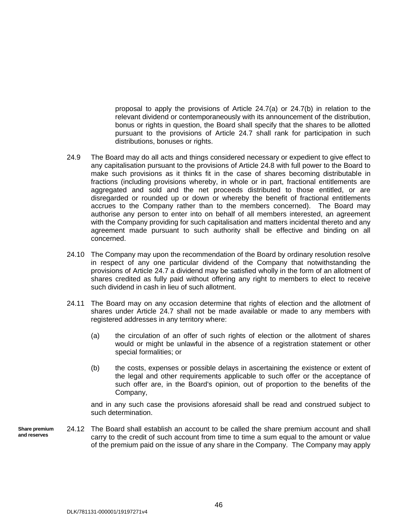proposal to apply the provisions of Article  $24.7(a)$  or  $24.7(b)$  in relation to the relevant dividend or contemporaneously with its announcement of the distribution, bonus or rights in question, the Board shall specify that the shares to be allotted pursuant to the provisions of Article [24.7](#page-49-0) shall rank for participation in such distributions, bonuses or rights.

- 24.9 The Board may do all acts and things considered necessary or expedient to give effect to any capitalisation pursuant to the provisions of Article [24.8](#page-50-1) with full power to the Board to make such provisions as it thinks fit in the case of shares becoming distributable in fractions (including provisions whereby, in whole or in part, fractional entitlements are aggregated and sold and the net proceeds distributed to those entitled, or are disregarded or rounded up or down or whereby the benefit of fractional entitlements accrues to the Company rather than to the members concerned). The Board may authorise any person to enter into on behalf of all members interested, an agreement with the Company providing for such capitalisation and matters incidental thereto and any agreement made pursuant to such authority shall be effective and binding on all concerned.
- 24.10 The Company may upon the recommendation of the Board by ordinary resolution resolve in respect of any one particular dividend of the Company that notwithstanding the provisions of Article [24.7](#page-49-0) a dividend may be satisfied wholly in the form of an allotment of shares credited as fully paid without offering any right to members to elect to receive such dividend in cash in lieu of such allotment.
- 24.11 The Board may on any occasion determine that rights of election and the allotment of shares under Article [24.7](#page-49-0) shall not be made available or made to any members with registered addresses in any territory where:
	- (a) the circulation of an offer of such rights of election or the allotment of shares would or might be unlawful in the absence of a registration statement or other special formalities; or
	- (b) the costs, expenses or possible delays in ascertaining the existence or extent of the legal and other requirements applicable to such offer or the acceptance of such offer are, in the Board's opinion, out of proportion to the benefits of the Company,

and in any such case the provisions aforesaid shall be read and construed subject to such determination.

**Share premium and reserves** 24.12 The Board shall establish an account to be called the share premium account and shall carry to the credit of such account from time to time a sum equal to the amount or value of the premium paid on the issue of any share in the Company. The Company may apply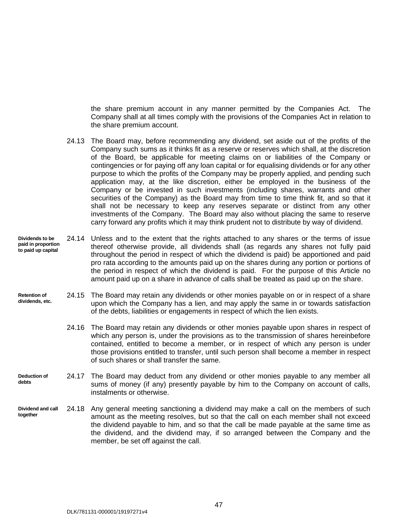the share premium account in any manner permitted by the Companies Act. The Company shall at all times comply with the provisions of the Companies Act in relation to the share premium account.

- 24.13 The Board may, before recommending any dividend, set aside out of the profits of the Company such sums as it thinks fit as a reserve or reserves which shall, at the discretion of the Board, be applicable for meeting claims on or liabilities of the Company or contingencies or for paying off any loan capital or for equalising dividends or for any other purpose to which the profits of the Company may be properly applied, and pending such application may, at the like discretion, either be employed in the business of the Company or be invested in such investments (including shares, warrants and other securities of the Company) as the Board may from time to time think fit, and so that it shall not be necessary to keep any reserves separate or distinct from any other investments of the Company. The Board may also without placing the same to reserve carry forward any profits which it may think prudent not to distribute by way of dividend.
- **Dividends to be paid in proportion to paid up capital** 24.14 Unless and to the extent that the rights attached to any shares or the terms of issue thereof otherwise provide, all dividends shall (as regards any shares not fully paid throughout the period in respect of which the dividend is paid) be apportioned and paid pro rata according to the amounts paid up on the shares during any portion or portions of the period in respect of which the dividend is paid. For the purpose of this Article no amount paid up on a share in advance of calls shall be treated as paid up on the share.
- **Retention of dividends, etc.** 24.15 The Board may retain any dividends or other monies payable on or in respect of a share upon which the Company has a lien, and may apply the same in or towards satisfaction of the debts, liabilities or engagements in respect of which the lien exists.
	- 24.16 The Board may retain any dividends or other monies payable upon shares in respect of which any person is, under the provisions as to the transmission of shares hereinbefore contained, entitled to become a member, or in respect of which any person is under those provisions entitled to transfer, until such person shall become a member in respect of such shares or shall transfer the same.
- **Deduction of debts** 24.17 The Board may deduct from any dividend or other monies payable to any member all sums of money (if any) presently payable by him to the Company on account of calls, instalments or otherwise.
- **Dividend and call together** 24.18 Any general meeting sanctioning a dividend may make a call on the members of such amount as the meeting resolves, but so that the call on each member shall not exceed the dividend payable to him, and so that the call be made payable at the same time as the dividend, and the dividend may, if so arranged between the Company and the member, be set off against the call.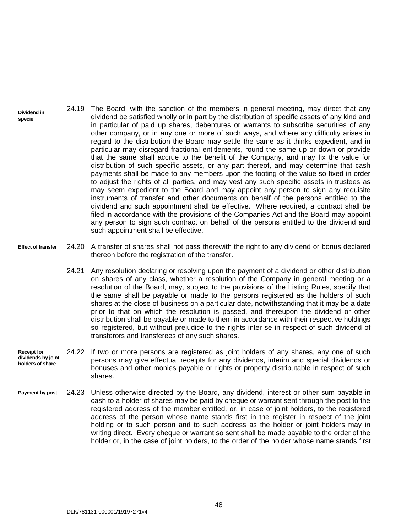- **Dividend in specie** 24.19 The Board, with the sanction of the members in general meeting, may direct that any dividend be satisfied wholly or in part by the distribution of specific assets of any kind and in particular of paid up shares, debentures or warrants to subscribe securities of any other company, or in any one or more of such ways, and where any difficulty arises in regard to the distribution the Board may settle the same as it thinks expedient, and in particular may disregard fractional entitlements, round the same up or down or provide that the same shall accrue to the benefit of the Company, and may fix the value for distribution of such specific assets, or any part thereof, and may determine that cash payments shall be made to any members upon the footing of the value so fixed in order to adjust the rights of all parties, and may vest any such specific assets in trustees as may seem expedient to the Board and may appoint any person to sign any requisite instruments of transfer and other documents on behalf of the persons entitled to the dividend and such appointment shall be effective. Where required, a contract shall be filed in accordance with the provisions of the Companies Act and the Board may appoint any person to sign such contract on behalf of the persons entitled to the dividend and such appointment shall be effective.
- **Effect of transfer** 24.20 A transfer of shares shall not pass therewith the right to any dividend or bonus declared thereon before the registration of the transfer.
	- 24.21 Any resolution declaring or resolving upon the payment of a dividend or other distribution on shares of any class, whether a resolution of the Company in general meeting or a resolution of the Board, may, subject to the provisions of the Listing Rules, specify that the same shall be payable or made to the persons registered as the holders of such shares at the close of business on a particular date, notwithstanding that it may be a date prior to that on which the resolution is passed, and thereupon the dividend or other distribution shall be payable or made to them in accordance with their respective holdings so registered, but without prejudice to the rights inter se in respect of such dividend of transferors and transferees of any such shares.
- **Receipt for dividends by joint holders of share** 24.22 If two or more persons are registered as joint holders of any shares, any one of such persons may give effectual receipts for any dividends, interim and special dividends or bonuses and other monies payable or rights or property distributable in respect of such shares.
- **Payment by post** 24.23 Unless otherwise directed by the Board, any dividend, interest or other sum payable in cash to a holder of shares may be paid by cheque or warrant sent through the post to the registered address of the member entitled, or, in case of joint holders, to the registered address of the person whose name stands first in the register in respect of the joint holding or to such person and to such address as the holder or joint holders may in writing direct. Every cheque or warrant so sent shall be made payable to the order of the holder or, in the case of joint holders, to the order of the holder whose name stands first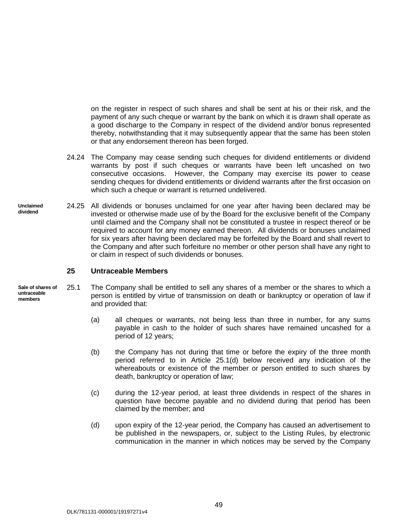on the register in respect of such shares and shall be sent at his or their risk, and the payment of any such cheque or warrant by the bank on which it is drawn shall operate as a good discharge to the Company in respect of the dividend and/or bonus represented thereby, notwithstanding that it may subsequently appear that the same has been stolen or that any endorsement thereon has been forged.

- 24.24 The Company may cease sending such cheques for dividend entitlements or dividend warrants by post if such cheques or warrants have been left uncashed on two consecutive occasions. However, the Company may exercise its power to cease sending cheques for dividend entitlements or dividend warrants after the first occasion on which such a cheque or warrant is returned undelivered.
- **Unclaimed dividend** 24.25 All dividends or bonuses unclaimed for one year after having been declared may be invested or otherwise made use of by the Board for the exclusive benefit of the Company until claimed and the Company shall not be constituted a trustee in respect thereof or be required to account for any money earned thereon. All dividends or bonuses unclaimed for six years after having been declared may be forfeited by the Board and shall revert to the Company and after such forfeiture no member or other person shall have any right to or claim in respect of such dividends or bonuses.

#### <span id="page-54-2"></span><span id="page-54-1"></span><span id="page-54-0"></span>**25 Untraceable Members**

- **Sale of shares of untraceable members** 25.1 The Company shall be entitled to sell any shares of a member or the shares to which a person is entitled by virtue of transmission on death or bankruptcy or operation of law if and provided that:
	- (a) all cheques or warrants, not being less than three in number, for any sums payable in cash to the holder of such shares have remained uncashed for a period of 12 years;
	- (b) the Company has not during that time or before the expiry of the three month period referred to in Article [25.1\(d\)](#page-54-1) below received any indication of the whereabouts or existence of the member or person entitled to such shares by death, bankruptcy or operation of law;
	- (c) during the 12-year period, at least three dividends in respect of the shares in question have become payable and no dividend during that period has been claimed by the member; and
	- (d) upon expiry of the 12-year period, the Company has caused an advertisement to be published in the newspapers, or, subject to the Listing Rules, by electronic communication in the manner in which notices may be served by the Company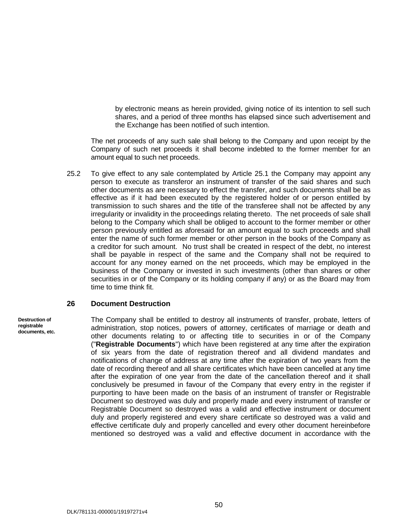by electronic means as herein provided, giving notice of its intention to sell such shares, and a period of three months has elapsed since such advertisement and the Exchange has been notified of such intention.

The net proceeds of any such sale shall belong to the Company and upon receipt by the Company of such net proceeds it shall become indebted to the former member for an amount equal to such net proceeds.

25.2 To give effect to any sale contemplated by Article [25.1](#page-54-2) the Company may appoint any person to execute as transferor an instrument of transfer of the said shares and such other documents as are necessary to effect the transfer, and such documents shall be as effective as if it had been executed by the registered holder of or person entitled by transmission to such shares and the title of the transferee shall not be affected by any irregularity or invalidity in the proceedings relating thereto. The net proceeds of sale shall belong to the Company which shall be obliged to account to the former member or other person previously entitled as aforesaid for an amount equal to such proceeds and shall enter the name of such former member or other person in the books of the Company as a creditor for such amount. No trust shall be created in respect of the debt, no interest shall be payable in respect of the same and the Company shall not be required to account for any money earned on the net proceeds, which may be employed in the business of the Company or invested in such investments (other than shares or other securities in or of the Company or its holding company if any) or as the Board may from time to time think fit.

#### <span id="page-55-0"></span>**26 Document Destruction**

#### **Destruction of registrable documents, etc.**

The Company shall be entitled to destroy all instruments of transfer, probate, letters of administration, stop notices, powers of attorney, certificates of marriage or death and other documents relating to or affecting title to securities in or of the Company ("**Registrable Documents**") which have been registered at any time after the expiration of six years from the date of registration thereof and all dividend mandates and notifications of change of address at any time after the expiration of two years from the date of recording thereof and all share certificates which have been cancelled at any time after the expiration of one year from the date of the cancellation thereof and it shall conclusively be presumed in favour of the Company that every entry in the register if purporting to have been made on the basis of an instrument of transfer or Registrable Document so destroyed was duly and properly made and every instrument of transfer or Registrable Document so destroyed was a valid and effective instrument or document duly and properly registered and every share certificate so destroyed was a valid and effective certificate duly and properly cancelled and every other document hereinbefore mentioned so destroyed was a valid and effective document in accordance with the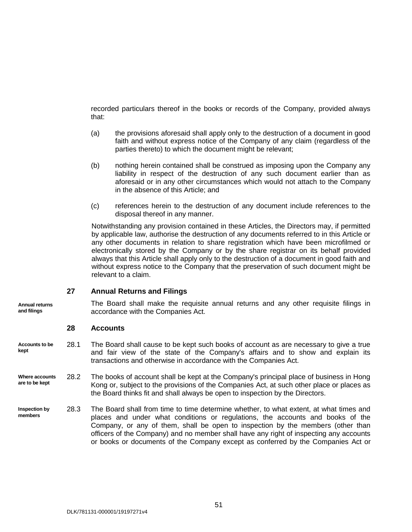recorded particulars thereof in the books or records of the Company, provided always that:

- (a) the provisions aforesaid shall apply only to the destruction of a document in good faith and without express notice of the Company of any claim (regardless of the parties thereto) to which the document might be relevant;
- (b) nothing herein contained shall be construed as imposing upon the Company any liability in respect of the destruction of any such document earlier than as aforesaid or in any other circumstances which would not attach to the Company in the absence of this Article; and
- (c) references herein to the destruction of any document include references to the disposal thereof in any manner.

Notwithstanding any provision contained in these Articles, the Directors may, if permitted by applicable law, authorise the destruction of any documents referred to in this Article or any other documents in relation to share registration which have been microfilmed or electronically stored by the Company or by the share registrar on its behalf provided always that this Article shall apply only to the destruction of a document in good faith and without express notice to the Company that the preservation of such document might be relevant to a claim.

#### <span id="page-56-0"></span>**27 Annual Returns and Filings**

The Board shall make the requisite annual returns and any other requisite filings in accordance with the Companies Act.

#### <span id="page-56-1"></span>**28 Accounts**

**Annual returns and filings**

**Accounts to be kept** 28.1 The Board shall cause to be kept such books of account as are necessary to give a true and fair view of the state of the Company's affairs and to show and explain its transactions and otherwise in accordance with the Companies Act.

**Where accounts are to be kept** 28.2 The books of account shall be kept at the Company's principal place of business in Hong Kong or, subject to the provisions of the Companies Act, at such other place or places as the Board thinks fit and shall always be open to inspection by the Directors.

**Inspection by members** 28.3 The Board shall from time to time determine whether, to what extent, at what times and places and under what conditions or regulations, the accounts and books of the Company, or any of them, shall be open to inspection by the members (other than officers of the Company) and no member shall have any right of inspecting any accounts or books or documents of the Company except as conferred by the Companies Act or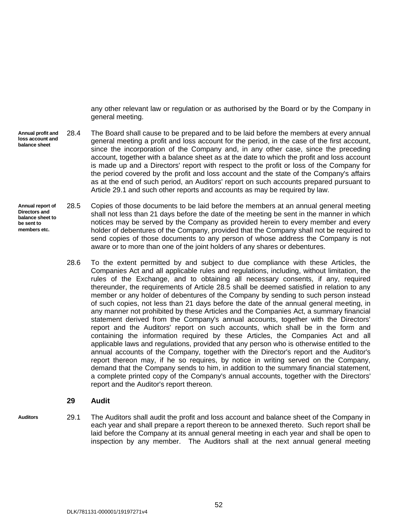any other relevant law or regulation or as authorised by the Board or by the Company in general meeting.

- **Annual profit and loss account and balance sheet** 28.4 The Board shall cause to be prepared and to be laid before the members at every annual general meeting a profit and loss account for the period, in the case of the first account, since the incorporation of the Company and, in any other case, since the preceding account, together with a balance sheet as at the date to which the profit and loss account is made up and a Directors' report with respect to the profit or loss of the Company for the period covered by the profit and loss account and the state of the Company's affairs as at the end of such period, an Auditors' report on such accounts prepared pursuant to Article [29.1](#page-57-1) and such other reports and accounts as may be required by law.
- <span id="page-57-2"></span>**Annual report of Directors and balance sheet to be sent to members etc.** 28.5 Copies of those documents to be laid before the members at an annual general meeting shall not less than 21 days before the date of the meeting be sent in the manner in which notices may be served by the Company as provided herein to every member and every holder of debentures of the Company, provided that the Company shall not be required to send copies of those documents to any person of whose address the Company is not aware or to more than one of the joint holders of any shares or debentures.
	- 28.6 To the extent permitted by and subject to due compliance with these Articles, the Companies Act and all applicable rules and regulations, including, without limitation, the rules of the Exchange, and to obtaining all necessary consents, if any, required thereunder, the requirements of Article [28.5](#page-57-2) shall be deemed satisfied in relation to any member or any holder of debentures of the Company by sending to such person instead of such copies, not less than 21 days before the date of the annual general meeting, in any manner not prohibited by these Articles and the Companies Act, a summary financial statement derived from the Company's annual accounts, together with the Directors' report and the Auditors' report on such accounts, which shall be in the form and containing the information required by these Articles, the Companies Act and all applicable laws and regulations, provided that any person who is otherwise entitled to the annual accounts of the Company, together with the Director's report and the Auditor's report thereon may, if he so requires, by notice in writing served on the Company, demand that the Company sends to him, in addition to the summary financial statement, a complete printed copy of the Company's annual accounts, together with the Directors' report and the Auditor's report thereon.

#### <span id="page-57-1"></span><span id="page-57-0"></span>**29 Audit**

**Auditors** 29.1 The Auditors shall audit the profit and loss account and balance sheet of the Company in each year and shall prepare a report thereon to be annexed thereto. Such report shall be laid before the Company at its annual general meeting in each year and shall be open to inspection by any member. The Auditors shall at the next annual general meeting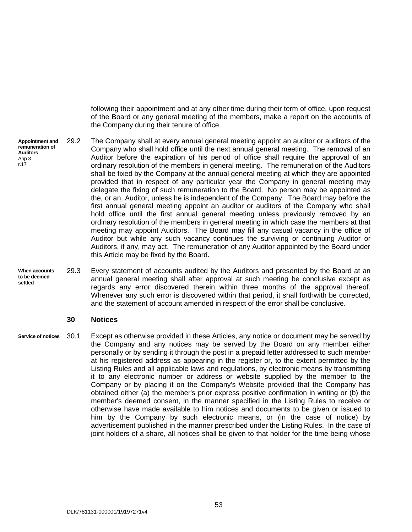following their appointment and at any other time during their term of office, upon request of the Board or any general meeting of the members, make a report on the accounts of the Company during their tenure of office.

**Appointment and remuneration of Auditors** App 3 r.17

29.2 The Company shall at every annual general meeting appoint an auditor or auditors of the Company who shall hold office until the next annual general meeting. The removal of an Auditor before the expiration of his period of office shall require the approval of an ordinary resolution of the members in general meeting. The remuneration of the Auditors shall be fixed by the Company at the annual general meeting at which they are appointed provided that in respect of any particular year the Company in general meeting may delegate the fixing of such remuneration to the Board. No person may be appointed as the, or an, Auditor, unless he is independent of the Company. The Board may before the first annual general meeting appoint an auditor or auditors of the Company who shall hold office until the first annual general meeting unless previously removed by an ordinary resolution of the members in general meeting in which case the members at that meeting may appoint Auditors. The Board may fill any casual vacancy in the office of Auditor but while any such vacancy continues the surviving or continuing Auditor or Auditors, if any, may act. The remuneration of any Auditor appointed by the Board under this Article may be fixed by the Board.

**When accounts to be deemed settled** 29.3 Every statement of accounts audited by the Auditors and presented by the Board at an annual general meeting shall after approval at such meeting be conclusive except as regards any error discovered therein within three months of the approval thereof. Whenever any such error is discovered within that period, it shall forthwith be corrected, and the statement of account amended in respect of the error shall be conclusive.

#### <span id="page-58-1"></span><span id="page-58-0"></span>**30 Notices**

**Service of notices** 30.1 Except as otherwise provided in these Articles, any notice or document may be served by the Company and any notices may be served by the Board on any member either personally or by sending it through the post in a prepaid letter addressed to such member at his registered address as appearing in the register or, to the extent permitted by the Listing Rules and all applicable laws and regulations, by electronic means by transmitting it to any electronic number or address or website supplied by the member to the Company or by placing it on the Company's Website provided that the Company has obtained either (a) the member's prior express positive confirmation in writing or (b) the member's deemed consent, in the manner specified in the Listing Rules to receive or otherwise have made available to him notices and documents to be given or issued to him by the Company by such electronic means, or (in the case of notice) by advertisement published in the manner prescribed under the Listing Rules. In the case of joint holders of a share, all notices shall be given to that holder for the time being whose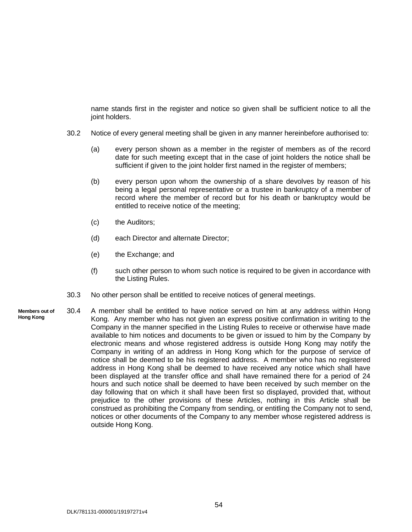name stands first in the register and notice so given shall be sufficient notice to all the joint holders.

- 30.2 Notice of every general meeting shall be given in any manner hereinbefore authorised to:
	- (a) every person shown as a member in the register of members as of the record date for such meeting except that in the case of joint holders the notice shall be sufficient if given to the joint holder first named in the register of members;
	- (b) every person upon whom the ownership of a share devolves by reason of his being a legal personal representative or a trustee in bankruptcy of a member of record where the member of record but for his death or bankruptcy would be entitled to receive notice of the meeting;
	- (c) the Auditors;
	- (d) each Director and alternate Director;
	- (e) the Exchange; and
	- (f) such other person to whom such notice is required to be given in accordance with the Listing Rules.
- 30.3 No other person shall be entitled to receive notices of general meetings.
- **Members out of Hong Kong** 30.4 A member shall be entitled to have notice served on him at any address within Hong Kong. Any member who has not given an express positive confirmation in writing to the Company in the manner specified in the Listing Rules to receive or otherwise have made available to him notices and documents to be given or issued to him by the Company by electronic means and whose registered address is outside Hong Kong may notify the Company in writing of an address in Hong Kong which for the purpose of service of notice shall be deemed to be his registered address. A member who has no registered address in Hong Kong shall be deemed to have received any notice which shall have been displayed at the transfer office and shall have remained there for a period of 24 hours and such notice shall be deemed to have been received by such member on the day following that on which it shall have been first so displayed, provided that, without prejudice to the other provisions of these Articles, nothing in this Article shall be construed as prohibiting the Company from sending, or entitling the Company not to send, notices or other documents of the Company to any member whose registered address is outside Hong Kong.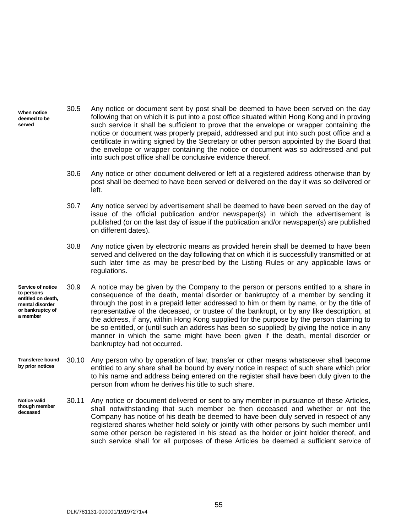- **When notice deemed to be served** 30.5 Any notice or document sent by post shall be deemed to have been served on the day following that on which it is put into a post office situated within Hong Kong and in proving such service it shall be sufficient to prove that the envelope or wrapper containing the notice or document was properly prepaid, addressed and put into such post office and a certificate in writing signed by the Secretary or other person appointed by the Board that the envelope or wrapper containing the notice or document was so addressed and put into such post office shall be conclusive evidence thereof.
	- 30.6 Any notice or other document delivered or left at a registered address otherwise than by post shall be deemed to have been served or delivered on the day it was so delivered or left.
	- 30.7 Any notice served by advertisement shall be deemed to have been served on the day of issue of the official publication and/or newspaper(s) in which the advertisement is published (or on the last day of issue if the publication and/or newspaper(s) are published on different dates).
	- 30.8 Any notice given by electronic means as provided herein shall be deemed to have been served and delivered on the day following that on which it is successfully transmitted or at such later time as may be prescribed by the Listing Rules or any applicable laws or regulations.
- **Service of notice to persons entitled on death, mental disorder or bankruptcy of a member** 30.9 A notice may be given by the Company to the person or persons entitled to a share in consequence of the death, mental disorder or bankruptcy of a member by sending it through the post in a prepaid letter addressed to him or them by name, or by the title of representative of the deceased, or trustee of the bankrupt, or by any like description, at the address, if any, within Hong Kong supplied for the purpose by the person claiming to be so entitled, or (until such an address has been so supplied) by giving the notice in any manner in which the same might have been given if the death, mental disorder or bankruptcy had not occurred.
- **Transferee bound by prior notices** 30.10 Any person who by operation of law, transfer or other means whatsoever shall become entitled to any share shall be bound by every notice in respect of such share which prior to his name and address being entered on the register shall have been duly given to the person from whom he derives his title to such share.
- **Notice valid though member deceased** 30.11 Any notice or document delivered or sent to any member in pursuance of these Articles, shall notwithstanding that such member be then deceased and whether or not the Company has notice of his death be deemed to have been duly served in respect of any registered shares whether held solely or jointly with other persons by such member until some other person be registered in his stead as the holder or joint holder thereof, and such service shall for all purposes of these Articles be deemed a sufficient service of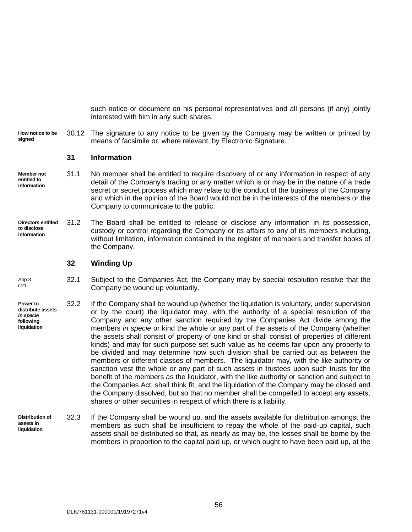such notice or document on his personal representatives and all persons (if any) jointly interested with him in any such shares.

**How notice to be signed** 30.12 The signature to any notice to be given by the Company may be written or printed by means of facsimile or, where relevant, by Electronic Signature.

#### <span id="page-61-0"></span>**31 Information**

- **Member not entitled to information** 31.1 No member shall be entitled to require discovery of or any information in respect of any detail of the Company's trading or any matter which is or may be in the nature of a trade secret or secret process which may relate to the conduct of the business of the Company and which in the opinion of the Board would not be in the interests of the members or the Company to communicate to the public.
- **Directors entitled to disclose information** 31.2 The Board shall be entitled to release or disclose any information in its possession, custody or control regarding the Company or its affairs to any of its members including, without limitation, information contained in the register of members and transfer books of the Company.

#### <span id="page-61-1"></span>**32 Winding Up**

- App 3 r.21 32.1 Subject to the Companies Act, the Company may by special resolution resolve that the Company be wound up voluntarily.
- **Power to distribute assets**  *in specie*  **following liquidation** 32.2 If the Company shall be wound up (whether the liquidation is voluntary, under supervision or by the court) the liquidator may, with the authority of a special resolution of the Company and any other sanction required by the Companies Act divide among the members *in specie* or kind the whole or any part of the assets of the Company (whether the assets shall consist of property of one kind or shall consist of properties of different kinds) and may for such purpose set such value as he deems fair upon any property to be divided and may determine how such division shall be carried out as between the members or different classes of members. The liquidator may, with the like authority or sanction vest the whole or any part of such assets in trustees upon such trusts for the benefit of the members as the liquidator, with the like authority or sanction and subject to the Companies Act, shall think fit, and the liquidation of the Company may be closed and the Company dissolved, but so that no member shall be compelled to accept any assets, shares or other securities in respect of which there is a liability.
- **Distribution of assets in liquidation** 32.3 If the Company shall be wound up, and the assets available for distribution amongst the members as such shall be insufficient to repay the whole of the paid-up capital, such assets shall be distributed so that, as nearly as may be, the losses shall be borne by the members in proportion to the capital paid up, or which ought to have been paid up, at the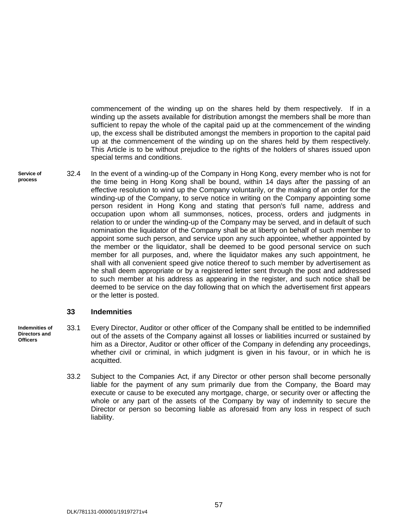commencement of the winding up on the shares held by them respectively. If in a winding up the assets available for distribution amongst the members shall be more than sufficient to repay the whole of the capital paid up at the commencement of the winding up, the excess shall be distributed amongst the members in proportion to the capital paid up at the commencement of the winding up on the shares held by them respectively. This Article is to be without prejudice to the rights of the holders of shares issued upon special terms and conditions.

**Service of**  32.4 In the event of a winding-up of the Company in Hong Kong, every member who is not for the time being in Hong Kong shall be bound, within 14 days after the passing of an effective resolution to wind up the Company voluntarily, or the making of an order for the winding-up of the Company, to serve notice in writing on the Company appointing some person resident in Hong Kong and stating that person's full name, address and occupation upon whom all summonses, notices, process, orders and judgments in relation to or under the winding-up of the Company may be served, and in default of such nomination the liquidator of the Company shall be at liberty on behalf of such member to appoint some such person, and service upon any such appointee, whether appointed by the member or the liquidator, shall be deemed to be good personal service on such member for all purposes, and, where the liquidator makes any such appointment, he shall with all convenient speed give notice thereof to such member by advertisement as he shall deem appropriate or by a registered letter sent through the post and addressed to such member at his address as appearing in the register, and such notice shall be deemed to be service on the day following that on which the advertisement first appears or the letter is posted.

#### <span id="page-62-0"></span>**33 Indemnities**

- **Indemnities of**  33.1 Every Director, Auditor or other officer of the Company shall be entitled to be indemnified out of the assets of the Company against all losses or liabilities incurred or sustained by him as a Director, Auditor or other officer of the Company in defending any proceedings, whether civil or criminal, in which judgment is given in his favour, or in which he is acquitted.
	- 33.2 Subject to the Companies Act, if any Director or other person shall become personally liable for the payment of any sum primarily due from the Company, the Board may execute or cause to be executed any mortgage, charge, or security over or affecting the whole or any part of the assets of the Company by way of indemnity to secure the Director or person so becoming liable as aforesaid from any loss in respect of such liability.

**process**

**Directors and Officers**